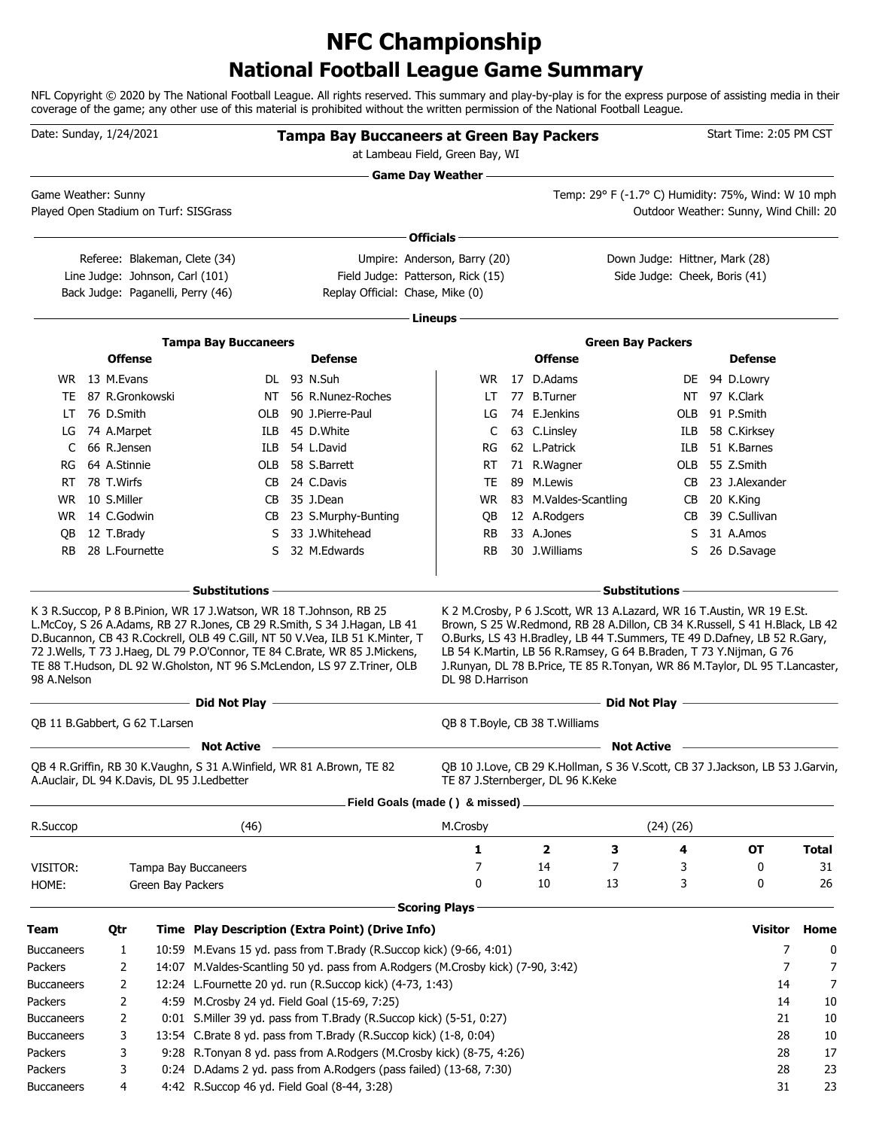### **National Football League Game Summary NFC Championship**

NFL Copyright © 2020 by The National Football League. All rights reserved. This summary and play-by-play is for the express purpose of assisting media in their coverage of the game; any other use of this material is prohibited without the written permission of the National Football League.

| <b>Game Day Weather —</b><br>Temp: 29° F (-1.7° C) Humidity: 75%, Wind: W 10 mph<br>Game Weather: Sunny<br>Played Open Stadium on Turf: SISGrass<br>Outdoor Weather: Sunny, Wind Chill: 20<br>Officials -<br>Down Judge: Hittner, Mark (28)<br>Referee: Blakeman, Clete (34)<br>Umpire: Anderson, Barry (20)<br>Line Judge: Johnson, Carl (101)<br>Field Judge: Patterson, Rick (15)<br>Side Judge: Cheek, Boris (41)<br>Back Judge: Paganelli, Perry (46)<br>Replay Official: Chase, Mike (0)<br>Lineups -<br><b>Tampa Bay Buccaneers</b><br><b>Green Bay Packers</b><br><b>Offense</b><br><b>Defense</b><br><b>Offense</b><br><b>Defense</b><br>WR 13 M.Evans<br>DL 93 N.Suh<br>17 D.Adams<br>WR.<br>DE 94 D.Lowry<br>87 R.Gronkowski<br>NT 56 R.Nunez-Roches<br>77 B.Turner<br>NT 97 K.Clark<br>TE<br>LT<br>76 D.Smith<br>90 J.Pierre-Paul<br>74 E.Jenkins<br>91 P.Smith<br>OLB<br>LG<br>OLB<br>LT<br>45 D.White<br>63 C.Linsley<br>58 C.Kirksey<br>74 A.Marpet<br>ILB.<br>C<br>ILB<br>LG<br>66 R.Jensen<br>54 L.David<br>62 L.Patrick<br>51 K.Barnes<br>ILB.<br>C<br>ILB<br>RG<br>64 A.Stinnie<br>58 S.Barrett<br>71 R.Wagner<br>55 Z.Smith<br>OLB<br>RT<br>OLB<br>RG<br>78 T.Wirfs<br>24 C.Davis<br>89 M.Lewis<br>23 J.Alexander<br>TE<br>RT<br>CB.<br>CB<br>10 S.Miller<br>35 J.Dean<br>83 M.Valdes-Scantling<br>20 K.King<br>WR.<br>CB<br>WR<br>CB<br>14 C.Godwin<br>12 A.Rodgers<br>39 C.Sullivan<br>WR.<br>CB 23 S.Murphy-Bunting<br>QB<br>CB<br>12 T.Brady<br>33 J.Whitehead<br>33 A.Jones<br>31 A.Amos<br>S.<br>RB<br>S<br>QB<br>28 L.Fournette<br>32 M.Edwards<br>30 J.Williams<br>26 D.Savage<br><b>RB</b><br><b>RB</b><br>S.<br>S.<br>– Substitutions<br>- Substitutions –<br>K 3 R.Succop, P 8 B.Pinion, WR 17 J.Watson, WR 18 T.Johnson, RB 25<br>K 2 M. Crosby, P 6 J. Scott, WR 13 A. Lazard, WR 16 T. Austin, WR 19 E.St.<br>L.McCoy, S 26 A.Adams, RB 27 R.Jones, CB 29 R.Smith, S 34 J.Hagan, LB 41<br>Brown, S 25 W.Redmond, RB 28 A.Dillon, CB 34 K.Russell, S 41 H.Black, LB 42<br>D.Bucannon, CB 43 R.Cockrell, OLB 49 C.Gill, NT 50 V.Vea, ILB 51 K.Minter, T<br>O.Burks, LS 43 H.Bradley, LB 44 T.Summers, TE 49 D.Dafney, LB 52 R.Gary,<br>72 J.Wells, T 73 J.Haeg, DL 79 P.O'Connor, TE 84 C.Brate, WR 85 J.Mickens,<br>LB 54 K.Martin, LB 56 R.Ramsey, G 64 B.Braden, T 73 Y.Nijman, G 76<br>TE 88 T.Hudson, DL 92 W.Gholston, NT 96 S.McLendon, LS 97 Z.Triner, OLB<br>J.Runyan, DL 78 B.Price, TE 85 R.Tonyan, WR 86 M.Taylor, DL 95 T.Lancaster,<br>98 A.Nelson<br>DL 98 D.Harrison<br>the control of the control of the control of the control of the control of<br>Did Not Play <u>___________________________</u><br>OB 11 B.Gabbert, G 62 T.Larsen<br>QB 8 T. Boyle, CB 38 T. Williams<br><b>Not Active</b><br><b>Not Active</b><br>QB 4 R.Griffin, RB 30 K.Vaughn, S 31 A.Winfield, WR 81 A.Brown, TE 82<br>QB 10 J.Love, CB 29 K.Hollman, S 36 V.Scott, CB 37 J.Jackson, LB 53 J.Garvin,<br>A.Auclair, DL 94 K.Davis, DL 95 J.Ledbetter<br>TE 87 J.Sternberger, DL 96 K.Keke<br>Field Goals (made () & missed)<br>(24)(26)<br>R.Succop<br>(46)<br>M.Crosby<br>1<br>2<br>З<br>4<br><b>OT</b><br><b>Total</b><br>7<br>7<br>14<br>3<br>0<br>VISITOR:<br>Tampa Bay Buccaneers<br>3<br>0<br>10<br>13<br>0<br>HOME:<br>Green Bay Packers<br><b>Scoring Plays</b><br><b>Visitor</b><br>Time Play Description (Extra Point) (Drive Info)<br>Home<br>Qtr<br>7<br>10:59 M.Evans 15 yd. pass from T.Brady (R.Succop kick) (9-66, 4:01)<br><b>Buccaneers</b><br>1<br>$\overline{7}$<br>2<br>14:07 M.Valdes-Scantling 50 yd. pass from A.Rodgers (M.Crosby kick) (7-90, 3:42)<br>12:24 L.Fournette 20 yd. run (R.Succop kick) (4-73, 1:43)<br>2<br>14<br>4:59 M.Crosby 24 yd. Field Goal (15-69, 7:25)<br>2<br>14<br>10<br>21<br>2<br>0:01 S. Miller 39 yd. pass from T. Brady (R. Succop kick) (5-51, 0:27)<br>13:54 C.Brate 8 yd. pass from T.Brady (R.Succop kick) (1-8, 0:04)<br>28<br>3<br>9:28 R.Tonyan 8 yd. pass from A.Rodgers (M.Crosby kick) (8-75, 4:26)<br>3<br>28<br>0:24 D.Adams 2 yd. pass from A.Rodgers (pass failed) (13-68, 7:30)<br>3<br>28<br>4:42 R.Succop 46 yd. Field Goal (8-44, 3:28)<br>31<br><b>Buccaneers</b><br>4 | Date: Sunday, 1/24/2021 |  |  | <b>Tampa Bay Buccaneers at Green Bay Packers</b><br>at Lambeau Field, Green Bay, WI |  |  | Start Time: 2:05 PM CST |        |
|----------------------------------------------------------------------------------------------------------------------------------------------------------------------------------------------------------------------------------------------------------------------------------------------------------------------------------------------------------------------------------------------------------------------------------------------------------------------------------------------------------------------------------------------------------------------------------------------------------------------------------------------------------------------------------------------------------------------------------------------------------------------------------------------------------------------------------------------------------------------------------------------------------------------------------------------------------------------------------------------------------------------------------------------------------------------------------------------------------------------------------------------------------------------------------------------------------------------------------------------------------------------------------------------------------------------------------------------------------------------------------------------------------------------------------------------------------------------------------------------------------------------------------------------------------------------------------------------------------------------------------------------------------------------------------------------------------------------------------------------------------------------------------------------------------------------------------------------------------------------------------------------------------------------------------------------------------------------------------------------------------------------------------------------------------------------------------------------------------------------------------------------------------------------------------------------------------------------------------------------------------------------------------------------------------------------------------------------------------------------------------------------------------------------------------------------------------------------------------------------------------------------------------------------------------------------------------------------------------------------------------------------------------------------------------------------------------------------------------------------------------------------------------------------------------------------------------------------------------------------------------------------------------------------------------------------------------------------------------------------------------------------------------------------------------------------------------------------------------------------------------------------------------------------------------------------------------------------------------------------------------------------------------------------------------------------------------------------------------------------------------------------------------------------------------------------------------------------------------------------------------------------------------------------------------------------------------------------------------------------------------------------------------------------------------------------------------------------------------------------------------------------------------------------------------------------------------------------------------------------------------------------------------------------------------------------------------------------------------------------------------------------------------------------------------------------------------------------------------------------------------------------------------------------------|-------------------------|--|--|-------------------------------------------------------------------------------------|--|--|-------------------------|--------|
|                                                                                                                                                                                                                                                                                                                                                                                                                                                                                                                                                                                                                                                                                                                                                                                                                                                                                                                                                                                                                                                                                                                                                                                                                                                                                                                                                                                                                                                                                                                                                                                                                                                                                                                                                                                                                                                                                                                                                                                                                                                                                                                                                                                                                                                                                                                                                                                                                                                                                                                                                                                                                                                                                                                                                                                                                                                                                                                                                                                                                                                                                                                                                                                                                                                                                                                                                                                                                                                                                                                                                                                                                                                                                                                                                                                                                                                                                                                                                                                                                                                                                                                                                                            |                         |  |  |                                                                                     |  |  |                         |        |
|                                                                                                                                                                                                                                                                                                                                                                                                                                                                                                                                                                                                                                                                                                                                                                                                                                                                                                                                                                                                                                                                                                                                                                                                                                                                                                                                                                                                                                                                                                                                                                                                                                                                                                                                                                                                                                                                                                                                                                                                                                                                                                                                                                                                                                                                                                                                                                                                                                                                                                                                                                                                                                                                                                                                                                                                                                                                                                                                                                                                                                                                                                                                                                                                                                                                                                                                                                                                                                                                                                                                                                                                                                                                                                                                                                                                                                                                                                                                                                                                                                                                                                                                                                            |                         |  |  |                                                                                     |  |  |                         |        |
| <b>Buccaneers</b><br><b>Buccaneers</b><br><b>Buccaneers</b><br>Packers                                                                                                                                                                                                                                                                                                                                                                                                                                                                                                                                                                                                                                                                                                                                                                                                                                                                                                                                                                                                                                                                                                                                                                                                                                                                                                                                                                                                                                                                                                                                                                                                                                                                                                                                                                                                                                                                                                                                                                                                                                                                                                                                                                                                                                                                                                                                                                                                                                                                                                                                                                                                                                                                                                                                                                                                                                                                                                                                                                                                                                                                                                                                                                                                                                                                                                                                                                                                                                                                                                                                                                                                                                                                                                                                                                                                                                                                                                                                                                                                                                                                                                     |                         |  |  |                                                                                     |  |  |                         |        |
|                                                                                                                                                                                                                                                                                                                                                                                                                                                                                                                                                                                                                                                                                                                                                                                                                                                                                                                                                                                                                                                                                                                                                                                                                                                                                                                                                                                                                                                                                                                                                                                                                                                                                                                                                                                                                                                                                                                                                                                                                                                                                                                                                                                                                                                                                                                                                                                                                                                                                                                                                                                                                                                                                                                                                                                                                                                                                                                                                                                                                                                                                                                                                                                                                                                                                                                                                                                                                                                                                                                                                                                                                                                                                                                                                                                                                                                                                                                                                                                                                                                                                                                                                                            |                         |  |  |                                                                                     |  |  |                         |        |
|                                                                                                                                                                                                                                                                                                                                                                                                                                                                                                                                                                                                                                                                                                                                                                                                                                                                                                                                                                                                                                                                                                                                                                                                                                                                                                                                                                                                                                                                                                                                                                                                                                                                                                                                                                                                                                                                                                                                                                                                                                                                                                                                                                                                                                                                                                                                                                                                                                                                                                                                                                                                                                                                                                                                                                                                                                                                                                                                                                                                                                                                                                                                                                                                                                                                                                                                                                                                                                                                                                                                                                                                                                                                                                                                                                                                                                                                                                                                                                                                                                                                                                                                                                            |                         |  |  |                                                                                     |  |  |                         |        |
|                                                                                                                                                                                                                                                                                                                                                                                                                                                                                                                                                                                                                                                                                                                                                                                                                                                                                                                                                                                                                                                                                                                                                                                                                                                                                                                                                                                                                                                                                                                                                                                                                                                                                                                                                                                                                                                                                                                                                                                                                                                                                                                                                                                                                                                                                                                                                                                                                                                                                                                                                                                                                                                                                                                                                                                                                                                                                                                                                                                                                                                                                                                                                                                                                                                                                                                                                                                                                                                                                                                                                                                                                                                                                                                                                                                                                                                                                                                                                                                                                                                                                                                                                                            |                         |  |  |                                                                                     |  |  |                         |        |
|                                                                                                                                                                                                                                                                                                                                                                                                                                                                                                                                                                                                                                                                                                                                                                                                                                                                                                                                                                                                                                                                                                                                                                                                                                                                                                                                                                                                                                                                                                                                                                                                                                                                                                                                                                                                                                                                                                                                                                                                                                                                                                                                                                                                                                                                                                                                                                                                                                                                                                                                                                                                                                                                                                                                                                                                                                                                                                                                                                                                                                                                                                                                                                                                                                                                                                                                                                                                                                                                                                                                                                                                                                                                                                                                                                                                                                                                                                                                                                                                                                                                                                                                                                            |                         |  |  |                                                                                     |  |  |                         |        |
|                                                                                                                                                                                                                                                                                                                                                                                                                                                                                                                                                                                                                                                                                                                                                                                                                                                                                                                                                                                                                                                                                                                                                                                                                                                                                                                                                                                                                                                                                                                                                                                                                                                                                                                                                                                                                                                                                                                                                                                                                                                                                                                                                                                                                                                                                                                                                                                                                                                                                                                                                                                                                                                                                                                                                                                                                                                                                                                                                                                                                                                                                                                                                                                                                                                                                                                                                                                                                                                                                                                                                                                                                                                                                                                                                                                                                                                                                                                                                                                                                                                                                                                                                                            |                         |  |  |                                                                                     |  |  |                         |        |
|                                                                                                                                                                                                                                                                                                                                                                                                                                                                                                                                                                                                                                                                                                                                                                                                                                                                                                                                                                                                                                                                                                                                                                                                                                                                                                                                                                                                                                                                                                                                                                                                                                                                                                                                                                                                                                                                                                                                                                                                                                                                                                                                                                                                                                                                                                                                                                                                                                                                                                                                                                                                                                                                                                                                                                                                                                                                                                                                                                                                                                                                                                                                                                                                                                                                                                                                                                                                                                                                                                                                                                                                                                                                                                                                                                                                                                                                                                                                                                                                                                                                                                                                                                            |                         |  |  |                                                                                     |  |  |                         |        |
|                                                                                                                                                                                                                                                                                                                                                                                                                                                                                                                                                                                                                                                                                                                                                                                                                                                                                                                                                                                                                                                                                                                                                                                                                                                                                                                                                                                                                                                                                                                                                                                                                                                                                                                                                                                                                                                                                                                                                                                                                                                                                                                                                                                                                                                                                                                                                                                                                                                                                                                                                                                                                                                                                                                                                                                                                                                                                                                                                                                                                                                                                                                                                                                                                                                                                                                                                                                                                                                                                                                                                                                                                                                                                                                                                                                                                                                                                                                                                                                                                                                                                                                                                                            |                         |  |  |                                                                                     |  |  |                         |        |
|                                                                                                                                                                                                                                                                                                                                                                                                                                                                                                                                                                                                                                                                                                                                                                                                                                                                                                                                                                                                                                                                                                                                                                                                                                                                                                                                                                                                                                                                                                                                                                                                                                                                                                                                                                                                                                                                                                                                                                                                                                                                                                                                                                                                                                                                                                                                                                                                                                                                                                                                                                                                                                                                                                                                                                                                                                                                                                                                                                                                                                                                                                                                                                                                                                                                                                                                                                                                                                                                                                                                                                                                                                                                                                                                                                                                                                                                                                                                                                                                                                                                                                                                                                            |                         |  |  |                                                                                     |  |  |                         |        |
|                                                                                                                                                                                                                                                                                                                                                                                                                                                                                                                                                                                                                                                                                                                                                                                                                                                                                                                                                                                                                                                                                                                                                                                                                                                                                                                                                                                                                                                                                                                                                                                                                                                                                                                                                                                                                                                                                                                                                                                                                                                                                                                                                                                                                                                                                                                                                                                                                                                                                                                                                                                                                                                                                                                                                                                                                                                                                                                                                                                                                                                                                                                                                                                                                                                                                                                                                                                                                                                                                                                                                                                                                                                                                                                                                                                                                                                                                                                                                                                                                                                                                                                                                                            |                         |  |  |                                                                                     |  |  |                         |        |
|                                                                                                                                                                                                                                                                                                                                                                                                                                                                                                                                                                                                                                                                                                                                                                                                                                                                                                                                                                                                                                                                                                                                                                                                                                                                                                                                                                                                                                                                                                                                                                                                                                                                                                                                                                                                                                                                                                                                                                                                                                                                                                                                                                                                                                                                                                                                                                                                                                                                                                                                                                                                                                                                                                                                                                                                                                                                                                                                                                                                                                                                                                                                                                                                                                                                                                                                                                                                                                                                                                                                                                                                                                                                                                                                                                                                                                                                                                                                                                                                                                                                                                                                                                            |                         |  |  |                                                                                     |  |  |                         |        |
|                                                                                                                                                                                                                                                                                                                                                                                                                                                                                                                                                                                                                                                                                                                                                                                                                                                                                                                                                                                                                                                                                                                                                                                                                                                                                                                                                                                                                                                                                                                                                                                                                                                                                                                                                                                                                                                                                                                                                                                                                                                                                                                                                                                                                                                                                                                                                                                                                                                                                                                                                                                                                                                                                                                                                                                                                                                                                                                                                                                                                                                                                                                                                                                                                                                                                                                                                                                                                                                                                                                                                                                                                                                                                                                                                                                                                                                                                                                                                                                                                                                                                                                                                                            |                         |  |  |                                                                                     |  |  |                         |        |
|                                                                                                                                                                                                                                                                                                                                                                                                                                                                                                                                                                                                                                                                                                                                                                                                                                                                                                                                                                                                                                                                                                                                                                                                                                                                                                                                                                                                                                                                                                                                                                                                                                                                                                                                                                                                                                                                                                                                                                                                                                                                                                                                                                                                                                                                                                                                                                                                                                                                                                                                                                                                                                                                                                                                                                                                                                                                                                                                                                                                                                                                                                                                                                                                                                                                                                                                                                                                                                                                                                                                                                                                                                                                                                                                                                                                                                                                                                                                                                                                                                                                                                                                                                            |                         |  |  |                                                                                     |  |  |                         |        |
|                                                                                                                                                                                                                                                                                                                                                                                                                                                                                                                                                                                                                                                                                                                                                                                                                                                                                                                                                                                                                                                                                                                                                                                                                                                                                                                                                                                                                                                                                                                                                                                                                                                                                                                                                                                                                                                                                                                                                                                                                                                                                                                                                                                                                                                                                                                                                                                                                                                                                                                                                                                                                                                                                                                                                                                                                                                                                                                                                                                                                                                                                                                                                                                                                                                                                                                                                                                                                                                                                                                                                                                                                                                                                                                                                                                                                                                                                                                                                                                                                                                                                                                                                                            |                         |  |  |                                                                                     |  |  |                         |        |
|                                                                                                                                                                                                                                                                                                                                                                                                                                                                                                                                                                                                                                                                                                                                                                                                                                                                                                                                                                                                                                                                                                                                                                                                                                                                                                                                                                                                                                                                                                                                                                                                                                                                                                                                                                                                                                                                                                                                                                                                                                                                                                                                                                                                                                                                                                                                                                                                                                                                                                                                                                                                                                                                                                                                                                                                                                                                                                                                                                                                                                                                                                                                                                                                                                                                                                                                                                                                                                                                                                                                                                                                                                                                                                                                                                                                                                                                                                                                                                                                                                                                                                                                                                            |                         |  |  |                                                                                     |  |  |                         |        |
|                                                                                                                                                                                                                                                                                                                                                                                                                                                                                                                                                                                                                                                                                                                                                                                                                                                                                                                                                                                                                                                                                                                                                                                                                                                                                                                                                                                                                                                                                                                                                                                                                                                                                                                                                                                                                                                                                                                                                                                                                                                                                                                                                                                                                                                                                                                                                                                                                                                                                                                                                                                                                                                                                                                                                                                                                                                                                                                                                                                                                                                                                                                                                                                                                                                                                                                                                                                                                                                                                                                                                                                                                                                                                                                                                                                                                                                                                                                                                                                                                                                                                                                                                                            |                         |  |  |                                                                                     |  |  |                         |        |
|                                                                                                                                                                                                                                                                                                                                                                                                                                                                                                                                                                                                                                                                                                                                                                                                                                                                                                                                                                                                                                                                                                                                                                                                                                                                                                                                                                                                                                                                                                                                                                                                                                                                                                                                                                                                                                                                                                                                                                                                                                                                                                                                                                                                                                                                                                                                                                                                                                                                                                                                                                                                                                                                                                                                                                                                                                                                                                                                                                                                                                                                                                                                                                                                                                                                                                                                                                                                                                                                                                                                                                                                                                                                                                                                                                                                                                                                                                                                                                                                                                                                                                                                                                            |                         |  |  |                                                                                     |  |  |                         |        |
|                                                                                                                                                                                                                                                                                                                                                                                                                                                                                                                                                                                                                                                                                                                                                                                                                                                                                                                                                                                                                                                                                                                                                                                                                                                                                                                                                                                                                                                                                                                                                                                                                                                                                                                                                                                                                                                                                                                                                                                                                                                                                                                                                                                                                                                                                                                                                                                                                                                                                                                                                                                                                                                                                                                                                                                                                                                                                                                                                                                                                                                                                                                                                                                                                                                                                                                                                                                                                                                                                                                                                                                                                                                                                                                                                                                                                                                                                                                                                                                                                                                                                                                                                                            |                         |  |  |                                                                                     |  |  |                         |        |
| <b>Team</b><br>Packers<br>Packers<br>Packers                                                                                                                                                                                                                                                                                                                                                                                                                                                                                                                                                                                                                                                                                                                                                                                                                                                                                                                                                                                                                                                                                                                                                                                                                                                                                                                                                                                                                                                                                                                                                                                                                                                                                                                                                                                                                                                                                                                                                                                                                                                                                                                                                                                                                                                                                                                                                                                                                                                                                                                                                                                                                                                                                                                                                                                                                                                                                                                                                                                                                                                                                                                                                                                                                                                                                                                                                                                                                                                                                                                                                                                                                                                                                                                                                                                                                                                                                                                                                                                                                                                                                                                               |                         |  |  |                                                                                     |  |  |                         |        |
|                                                                                                                                                                                                                                                                                                                                                                                                                                                                                                                                                                                                                                                                                                                                                                                                                                                                                                                                                                                                                                                                                                                                                                                                                                                                                                                                                                                                                                                                                                                                                                                                                                                                                                                                                                                                                                                                                                                                                                                                                                                                                                                                                                                                                                                                                                                                                                                                                                                                                                                                                                                                                                                                                                                                                                                                                                                                                                                                                                                                                                                                                                                                                                                                                                                                                                                                                                                                                                                                                                                                                                                                                                                                                                                                                                                                                                                                                                                                                                                                                                                                                                                                                                            |                         |  |  |                                                                                     |  |  |                         |        |
|                                                                                                                                                                                                                                                                                                                                                                                                                                                                                                                                                                                                                                                                                                                                                                                                                                                                                                                                                                                                                                                                                                                                                                                                                                                                                                                                                                                                                                                                                                                                                                                                                                                                                                                                                                                                                                                                                                                                                                                                                                                                                                                                                                                                                                                                                                                                                                                                                                                                                                                                                                                                                                                                                                                                                                                                                                                                                                                                                                                                                                                                                                                                                                                                                                                                                                                                                                                                                                                                                                                                                                                                                                                                                                                                                                                                                                                                                                                                                                                                                                                                                                                                                                            |                         |  |  |                                                                                     |  |  |                         |        |
|                                                                                                                                                                                                                                                                                                                                                                                                                                                                                                                                                                                                                                                                                                                                                                                                                                                                                                                                                                                                                                                                                                                                                                                                                                                                                                                                                                                                                                                                                                                                                                                                                                                                                                                                                                                                                                                                                                                                                                                                                                                                                                                                                                                                                                                                                                                                                                                                                                                                                                                                                                                                                                                                                                                                                                                                                                                                                                                                                                                                                                                                                                                                                                                                                                                                                                                                                                                                                                                                                                                                                                                                                                                                                                                                                                                                                                                                                                                                                                                                                                                                                                                                                                            |                         |  |  |                                                                                     |  |  |                         |        |
|                                                                                                                                                                                                                                                                                                                                                                                                                                                                                                                                                                                                                                                                                                                                                                                                                                                                                                                                                                                                                                                                                                                                                                                                                                                                                                                                                                                                                                                                                                                                                                                                                                                                                                                                                                                                                                                                                                                                                                                                                                                                                                                                                                                                                                                                                                                                                                                                                                                                                                                                                                                                                                                                                                                                                                                                                                                                                                                                                                                                                                                                                                                                                                                                                                                                                                                                                                                                                                                                                                                                                                                                                                                                                                                                                                                                                                                                                                                                                                                                                                                                                                                                                                            |                         |  |  |                                                                                     |  |  |                         |        |
|                                                                                                                                                                                                                                                                                                                                                                                                                                                                                                                                                                                                                                                                                                                                                                                                                                                                                                                                                                                                                                                                                                                                                                                                                                                                                                                                                                                                                                                                                                                                                                                                                                                                                                                                                                                                                                                                                                                                                                                                                                                                                                                                                                                                                                                                                                                                                                                                                                                                                                                                                                                                                                                                                                                                                                                                                                                                                                                                                                                                                                                                                                                                                                                                                                                                                                                                                                                                                                                                                                                                                                                                                                                                                                                                                                                                                                                                                                                                                                                                                                                                                                                                                                            |                         |  |  |                                                                                     |  |  |                         |        |
|                                                                                                                                                                                                                                                                                                                                                                                                                                                                                                                                                                                                                                                                                                                                                                                                                                                                                                                                                                                                                                                                                                                                                                                                                                                                                                                                                                                                                                                                                                                                                                                                                                                                                                                                                                                                                                                                                                                                                                                                                                                                                                                                                                                                                                                                                                                                                                                                                                                                                                                                                                                                                                                                                                                                                                                                                                                                                                                                                                                                                                                                                                                                                                                                                                                                                                                                                                                                                                                                                                                                                                                                                                                                                                                                                                                                                                                                                                                                                                                                                                                                                                                                                                            |                         |  |  |                                                                                     |  |  |                         |        |
|                                                                                                                                                                                                                                                                                                                                                                                                                                                                                                                                                                                                                                                                                                                                                                                                                                                                                                                                                                                                                                                                                                                                                                                                                                                                                                                                                                                                                                                                                                                                                                                                                                                                                                                                                                                                                                                                                                                                                                                                                                                                                                                                                                                                                                                                                                                                                                                                                                                                                                                                                                                                                                                                                                                                                                                                                                                                                                                                                                                                                                                                                                                                                                                                                                                                                                                                                                                                                                                                                                                                                                                                                                                                                                                                                                                                                                                                                                                                                                                                                                                                                                                                                                            |                         |  |  |                                                                                     |  |  |                         |        |
|                                                                                                                                                                                                                                                                                                                                                                                                                                                                                                                                                                                                                                                                                                                                                                                                                                                                                                                                                                                                                                                                                                                                                                                                                                                                                                                                                                                                                                                                                                                                                                                                                                                                                                                                                                                                                                                                                                                                                                                                                                                                                                                                                                                                                                                                                                                                                                                                                                                                                                                                                                                                                                                                                                                                                                                                                                                                                                                                                                                                                                                                                                                                                                                                                                                                                                                                                                                                                                                                                                                                                                                                                                                                                                                                                                                                                                                                                                                                                                                                                                                                                                                                                                            |                         |  |  |                                                                                     |  |  |                         | 31     |
|                                                                                                                                                                                                                                                                                                                                                                                                                                                                                                                                                                                                                                                                                                                                                                                                                                                                                                                                                                                                                                                                                                                                                                                                                                                                                                                                                                                                                                                                                                                                                                                                                                                                                                                                                                                                                                                                                                                                                                                                                                                                                                                                                                                                                                                                                                                                                                                                                                                                                                                                                                                                                                                                                                                                                                                                                                                                                                                                                                                                                                                                                                                                                                                                                                                                                                                                                                                                                                                                                                                                                                                                                                                                                                                                                                                                                                                                                                                                                                                                                                                                                                                                                                            |                         |  |  |                                                                                     |  |  |                         | 26     |
|                                                                                                                                                                                                                                                                                                                                                                                                                                                                                                                                                                                                                                                                                                                                                                                                                                                                                                                                                                                                                                                                                                                                                                                                                                                                                                                                                                                                                                                                                                                                                                                                                                                                                                                                                                                                                                                                                                                                                                                                                                                                                                                                                                                                                                                                                                                                                                                                                                                                                                                                                                                                                                                                                                                                                                                                                                                                                                                                                                                                                                                                                                                                                                                                                                                                                                                                                                                                                                                                                                                                                                                                                                                                                                                                                                                                                                                                                                                                                                                                                                                                                                                                                                            |                         |  |  |                                                                                     |  |  |                         |        |
|                                                                                                                                                                                                                                                                                                                                                                                                                                                                                                                                                                                                                                                                                                                                                                                                                                                                                                                                                                                                                                                                                                                                                                                                                                                                                                                                                                                                                                                                                                                                                                                                                                                                                                                                                                                                                                                                                                                                                                                                                                                                                                                                                                                                                                                                                                                                                                                                                                                                                                                                                                                                                                                                                                                                                                                                                                                                                                                                                                                                                                                                                                                                                                                                                                                                                                                                                                                                                                                                                                                                                                                                                                                                                                                                                                                                                                                                                                                                                                                                                                                                                                                                                                            |                         |  |  |                                                                                     |  |  |                         |        |
|                                                                                                                                                                                                                                                                                                                                                                                                                                                                                                                                                                                                                                                                                                                                                                                                                                                                                                                                                                                                                                                                                                                                                                                                                                                                                                                                                                                                                                                                                                                                                                                                                                                                                                                                                                                                                                                                                                                                                                                                                                                                                                                                                                                                                                                                                                                                                                                                                                                                                                                                                                                                                                                                                                                                                                                                                                                                                                                                                                                                                                                                                                                                                                                                                                                                                                                                                                                                                                                                                                                                                                                                                                                                                                                                                                                                                                                                                                                                                                                                                                                                                                                                                                            |                         |  |  |                                                                                     |  |  |                         |        |
|                                                                                                                                                                                                                                                                                                                                                                                                                                                                                                                                                                                                                                                                                                                                                                                                                                                                                                                                                                                                                                                                                                                                                                                                                                                                                                                                                                                                                                                                                                                                                                                                                                                                                                                                                                                                                                                                                                                                                                                                                                                                                                                                                                                                                                                                                                                                                                                                                                                                                                                                                                                                                                                                                                                                                                                                                                                                                                                                                                                                                                                                                                                                                                                                                                                                                                                                                                                                                                                                                                                                                                                                                                                                                                                                                                                                                                                                                                                                                                                                                                                                                                                                                                            |                         |  |  |                                                                                     |  |  |                         | 0      |
|                                                                                                                                                                                                                                                                                                                                                                                                                                                                                                                                                                                                                                                                                                                                                                                                                                                                                                                                                                                                                                                                                                                                                                                                                                                                                                                                                                                                                                                                                                                                                                                                                                                                                                                                                                                                                                                                                                                                                                                                                                                                                                                                                                                                                                                                                                                                                                                                                                                                                                                                                                                                                                                                                                                                                                                                                                                                                                                                                                                                                                                                                                                                                                                                                                                                                                                                                                                                                                                                                                                                                                                                                                                                                                                                                                                                                                                                                                                                                                                                                                                                                                                                                                            |                         |  |  |                                                                                     |  |  |                         | 7<br>7 |
|                                                                                                                                                                                                                                                                                                                                                                                                                                                                                                                                                                                                                                                                                                                                                                                                                                                                                                                                                                                                                                                                                                                                                                                                                                                                                                                                                                                                                                                                                                                                                                                                                                                                                                                                                                                                                                                                                                                                                                                                                                                                                                                                                                                                                                                                                                                                                                                                                                                                                                                                                                                                                                                                                                                                                                                                                                                                                                                                                                                                                                                                                                                                                                                                                                                                                                                                                                                                                                                                                                                                                                                                                                                                                                                                                                                                                                                                                                                                                                                                                                                                                                                                                                            |                         |  |  |                                                                                     |  |  |                         |        |
|                                                                                                                                                                                                                                                                                                                                                                                                                                                                                                                                                                                                                                                                                                                                                                                                                                                                                                                                                                                                                                                                                                                                                                                                                                                                                                                                                                                                                                                                                                                                                                                                                                                                                                                                                                                                                                                                                                                                                                                                                                                                                                                                                                                                                                                                                                                                                                                                                                                                                                                                                                                                                                                                                                                                                                                                                                                                                                                                                                                                                                                                                                                                                                                                                                                                                                                                                                                                                                                                                                                                                                                                                                                                                                                                                                                                                                                                                                                                                                                                                                                                                                                                                                            |                         |  |  |                                                                                     |  |  |                         | 10     |
|                                                                                                                                                                                                                                                                                                                                                                                                                                                                                                                                                                                                                                                                                                                                                                                                                                                                                                                                                                                                                                                                                                                                                                                                                                                                                                                                                                                                                                                                                                                                                                                                                                                                                                                                                                                                                                                                                                                                                                                                                                                                                                                                                                                                                                                                                                                                                                                                                                                                                                                                                                                                                                                                                                                                                                                                                                                                                                                                                                                                                                                                                                                                                                                                                                                                                                                                                                                                                                                                                                                                                                                                                                                                                                                                                                                                                                                                                                                                                                                                                                                                                                                                                                            |                         |  |  |                                                                                     |  |  |                         | 10     |
|                                                                                                                                                                                                                                                                                                                                                                                                                                                                                                                                                                                                                                                                                                                                                                                                                                                                                                                                                                                                                                                                                                                                                                                                                                                                                                                                                                                                                                                                                                                                                                                                                                                                                                                                                                                                                                                                                                                                                                                                                                                                                                                                                                                                                                                                                                                                                                                                                                                                                                                                                                                                                                                                                                                                                                                                                                                                                                                                                                                                                                                                                                                                                                                                                                                                                                                                                                                                                                                                                                                                                                                                                                                                                                                                                                                                                                                                                                                                                                                                                                                                                                                                                                            |                         |  |  |                                                                                     |  |  |                         | 17     |
|                                                                                                                                                                                                                                                                                                                                                                                                                                                                                                                                                                                                                                                                                                                                                                                                                                                                                                                                                                                                                                                                                                                                                                                                                                                                                                                                                                                                                                                                                                                                                                                                                                                                                                                                                                                                                                                                                                                                                                                                                                                                                                                                                                                                                                                                                                                                                                                                                                                                                                                                                                                                                                                                                                                                                                                                                                                                                                                                                                                                                                                                                                                                                                                                                                                                                                                                                                                                                                                                                                                                                                                                                                                                                                                                                                                                                                                                                                                                                                                                                                                                                                                                                                            |                         |  |  |                                                                                     |  |  |                         | 23     |
|                                                                                                                                                                                                                                                                                                                                                                                                                                                                                                                                                                                                                                                                                                                                                                                                                                                                                                                                                                                                                                                                                                                                                                                                                                                                                                                                                                                                                                                                                                                                                                                                                                                                                                                                                                                                                                                                                                                                                                                                                                                                                                                                                                                                                                                                                                                                                                                                                                                                                                                                                                                                                                                                                                                                                                                                                                                                                                                                                                                                                                                                                                                                                                                                                                                                                                                                                                                                                                                                                                                                                                                                                                                                                                                                                                                                                                                                                                                                                                                                                                                                                                                                                                            |                         |  |  |                                                                                     |  |  |                         | 23     |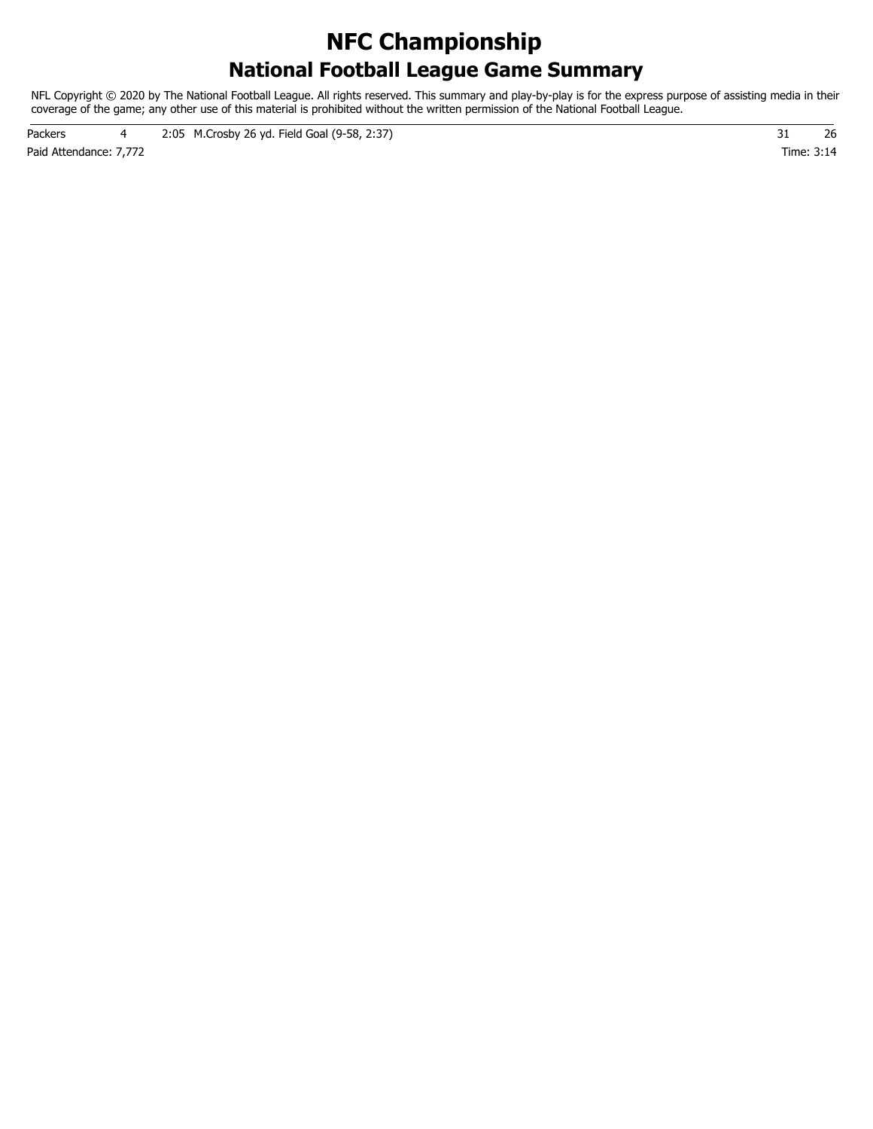### **National Football League Game Summary NFC Championship**

NFL Copyright © 2020 by The National Football League. All rights reserved. This summary and play-by-play is for the express purpose of assisting media in their coverage of the game; any other use of this material is prohibited without the written permission of the National Football League.

Paid Attendance: 7,772 Time: 3:14 Packers 4 2:05 M.Crosby 26 yd. Field Goal (9-58, 2:37) 31 31 36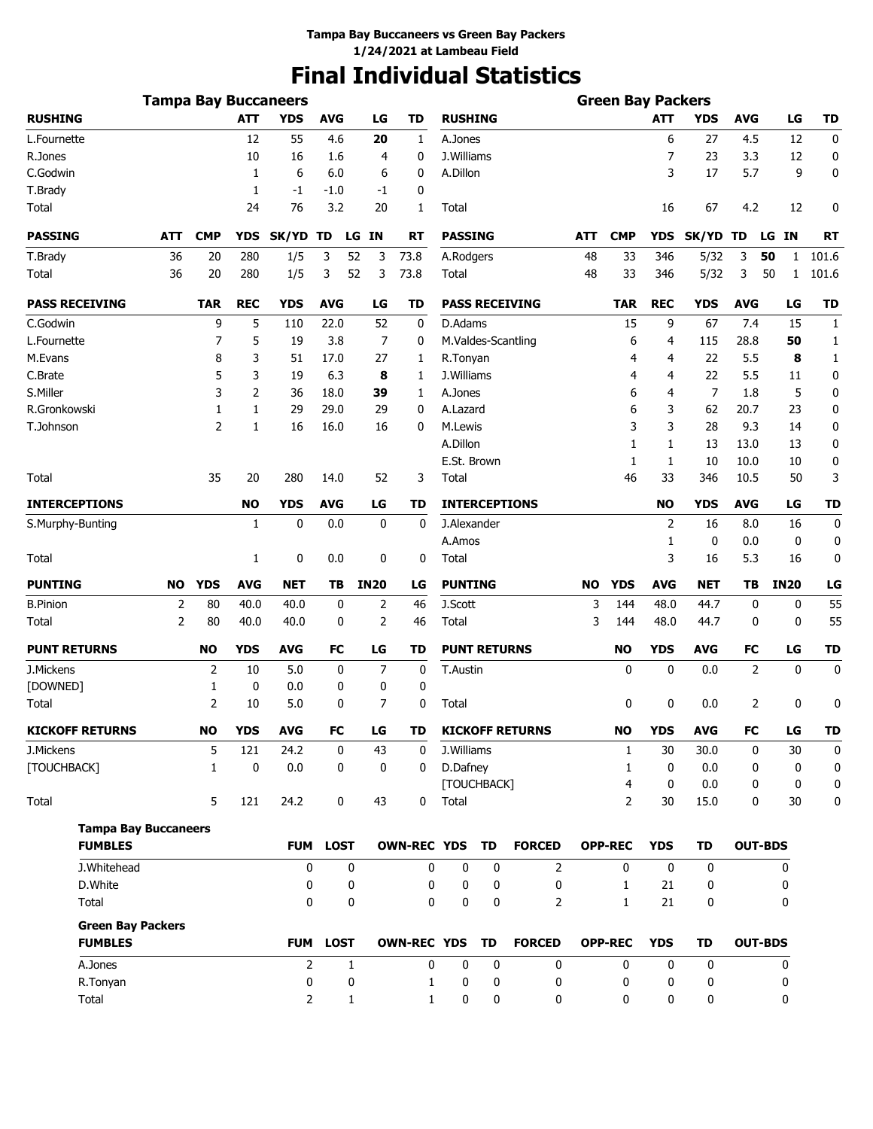# **Final Individual Statistics**

|                        | <b>Tampa Bay Buccaneers</b> |               |            |                |              |                |                    |                         |    |                        |           | <b>Green Bay Packers</b> |            |                |                |                    |                  |
|------------------------|-----------------------------|---------------|------------|----------------|--------------|----------------|--------------------|-------------------------|----|------------------------|-----------|--------------------------|------------|----------------|----------------|--------------------|------------------|
| <b>RUSHING</b>         |                             |               | <b>ATT</b> | <b>YDS</b>     | <b>AVG</b>   | LG             | <b>TD</b>          | <b>RUSHING</b>          |    |                        |           |                          | <b>ATT</b> | <b>YDS</b>     | <b>AVG</b>     | LG                 | <b>TD</b>        |
| L.Fournette            |                             |               | 12         | 55             | 4.6          | 20             | 1                  | A.Jones                 |    |                        |           |                          | 6          | 27             | 4.5            | 12                 | 0                |
| R.Jones                |                             |               | 10         | 16             | 1.6          | 4              | 0                  | J.Williams              |    |                        |           |                          | 7          | 23             | 3.3            | 12                 | 0                |
| C.Godwin               |                             |               | 1          | 6              | 6.0          | 6              | 0                  | A.Dillon                |    |                        |           |                          | 3          | 17             | 5.7            | 9                  | 0                |
| T.Brady                |                             |               | 1          | $-1$           | -1.0         | -1             | 0                  |                         |    |                        |           |                          |            |                |                |                    |                  |
| Total                  |                             |               | 24         | 76             | 3.2          | 20             | 1                  | Total                   |    |                        |           |                          | 16         | 67             | 4.2            | 12                 | 0                |
| <b>PASSING</b>         | ATT                         | <b>CMP</b>    | <b>YDS</b> | SK/YD TD       | LG           | IN             | RT                 | <b>PASSING</b>          |    |                        | ATT       | <b>CMP</b>               | <b>YDS</b> | SK/YD TD       |                | LG IN              | RT               |
| T.Brady                | 36                          | 20            | 280        | 1/5            | 3<br>52      | 3              | 73.8               | A.Rodgers               |    |                        | 48        | 33                       | 346        | 5/32           | 3              | 50<br>1            | 101.6            |
| Total                  | 36                          | 20            | 280        | 1/5            | 3<br>52      | 3              | 73.8               | Total                   |    |                        | 48        | 33                       | 346        | 5/32           | 3              | 50<br>$\mathbf{1}$ | 101.6            |
| <b>PASS RECEIVING</b>  |                             | <b>TAR</b>    | <b>REC</b> | YDS            | <b>AVG</b>   | LG             | TD                 |                         |    | <b>PASS RECEIVING</b>  |           | <b>TAR</b>               | <b>REC</b> | <b>YDS</b>     | <b>AVG</b>     | LG                 | <b>TD</b>        |
| C.Godwin               |                             | 9             | 5          | 110            | 22.0         | 52             | 0                  | D.Adams                 |    |                        |           | 15                       | 9          | 67             | 7.4            | 15                 | 1                |
| L.Fournette            |                             | 7             | 5          | 19             | 3.8          | 7              | 0                  |                         |    | M.Valdes-Scantling     |           | 6                        | 4          | 115            | 28.8           | 50                 | 1                |
| M.Evans                |                             | 8             | 3          | 51             | 17.0         | 27             | 1                  | R.Tonyan                |    |                        |           | 4                        | 4          | 22             | 5.5            | 8                  | $\mathbf{1}$     |
| C.Brate                |                             | 5             | 3          | 19             | 6.3          | 8              | 1                  | J.Williams              |    |                        |           | 4                        | 4          | 22             | 5.5            | 11                 | 0                |
| S.Miller               |                             | 3             | 2          | 36             | 18.0         | 39             | 1                  | A.Jones                 |    |                        |           | 6                        | 4          | $\overline{7}$ | 1.8            | 5                  | 0                |
| R.Gronkowski           |                             | 1             | 1          | 29             | 29.0         | 29             | 0                  | A.Lazard                |    |                        |           | 6                        | 3          | 62             | 20.7           | 23                 | 0                |
| T.Johnson              |                             | 2             | 1          | 16             | 16.0         | 16             | 0                  | M.Lewis                 |    |                        |           | 3                        | 3          | 28             | 9.3            | 14                 | 0                |
|                        |                             |               |            |                |              |                |                    | A.Dillon                |    |                        |           | 1                        | 1          | 13             | 13.0           | 13                 | 0                |
|                        |                             |               |            |                |              |                |                    | E.St. Brown             |    |                        |           | 1                        | 1          | 10             | 10.0           | 10                 | 0                |
| Total                  |                             | 35            | 20         | 280            | 14.0         | 52             | 3                  | Total                   |    |                        |           | 46                       | 33         | 346            | 10.5           | 50                 | 3                |
| <b>INTERCEPTIONS</b>   |                             |               | <b>NO</b>  | <b>YDS</b>     | <b>AVG</b>   | LG             | TD                 |                         |    | <b>INTERCEPTIONS</b>   |           |                          | <b>NO</b>  | <b>YDS</b>     | <b>AVG</b>     | LG                 | <b>TD</b>        |
| S.Murphy-Bunting       |                             |               | 1          | 0              | 0.0          | 0              | 0                  | J.Alexander             |    |                        |           |                          | 2          | 16             | 8.0            | 16                 | 0                |
|                        |                             |               |            |                |              |                |                    | A.Amos                  |    |                        |           |                          | 1          | 0              | 0.0            | $\mathbf 0$        | 0                |
| Total                  |                             |               | 1          | 0              | 0.0          | 0              | 0                  | Total                   |    |                        |           |                          | 3          | 16             | 5.3            | 16                 | 0                |
| <b>PUNTING</b>         | <b>NO</b>                   | <b>YDS</b>    | <b>AVG</b> | <b>NET</b>     | ΤВ           | <b>IN20</b>    | LG                 | <b>PUNTING</b>          |    |                        | <b>NO</b> | <b>YDS</b>               | <b>AVG</b> | <b>NET</b>     | TΒ             | <b>IN20</b>        | LG               |
| <b>B.Pinion</b>        | 2                           | 80            | 40.0       | 40.0           | 0            | 2              | 46                 | J.Scott                 |    |                        | 3         | 144                      | 48.0       | 44.7           | 0              | 0                  | 55               |
| Total                  | $\overline{2}$              | 80            | 40.0       | 40.0           | 0            | $\overline{2}$ | 46                 | Total                   |    |                        | 3         | 144                      | 48.0       | 44.7           | 0              | 0                  | 55               |
| <b>PUNT RETURNS</b>    |                             | <b>NO</b>     | <b>YDS</b> | <b>AVG</b>     | FC           | LG             | TD                 | <b>PUNT RETURNS</b>     |    |                        |           | <b>NO</b>                | <b>YDS</b> | AVG            | FC             | LG                 | TD               |
| J.Mickens              |                             | 2             | 10         | 5.0            | 0            | $\overline{7}$ | 0                  | T.Austin                |    |                        |           | 0                        | 0          | 0.0            | 2              | $\mathbf 0$        | 0                |
| [DOWNED]               |                             | 1             | 0          | 0.0            | 0            | 0              | 0                  |                         |    |                        |           |                          |            |                |                |                    |                  |
| Total                  |                             | 2             | 10         | 5.0            | 0            | 7              | 0                  | Total                   |    |                        |           | 0                        | 0          | 0.0            | 2              | 0                  | 0                |
| <b>KICKOFF RETURNS</b> |                             | $\mathbf{NO}$ | <b>YDS</b> | <b>AVG</b>     | FC           | LG             | TD                 |                         |    | <b>KICKOFF RETURNS</b> |           | <b>NO</b>                | <b>YDS</b> | <b>AVG</b>     | FC             | LG                 | TD               |
| J.Mickens              |                             | 5             | 121        | 24.2           | 0            | 43             | 0                  | J.Williams              |    |                        |           | $\mathbf{1}$             | 30         | 30.0           | 0              | 30                 | 0                |
| [TOUCHBACK]            |                             | $\mathbf{1}$  | 0          | 0.0            | 0            | 0              | 0                  | D.Dafney<br>[TOUCHBACK] |    |                        |           | 1<br>4                   | 0<br>0     | 0.0<br>0.0     | 0<br>0         | 0<br>0             | $\mathbf 0$<br>0 |
| Total                  |                             | 5             | 121        | 24.2           | 0            | 43             | 0                  | Total                   |    |                        |           | $\overline{2}$           | 30         | 15.0           | 0              | 30                 | 0                |
|                        | <b>Tampa Bay Buccaneers</b> |               |            |                |              |                |                    |                         |    |                        |           |                          |            |                |                |                    |                  |
| <b>FUMBLES</b>         |                             |               |            | <b>FUM</b>     | <b>LOST</b>  |                | <b>OWN-REC YDS</b> |                         | TD | <b>FORCED</b>          |           | <b>OPP-REC</b>           | <b>YDS</b> | <b>TD</b>      | <b>OUT-BDS</b> |                    |                  |
| J.Whitehead            |                             |               |            | 0              | 0            |                | 0                  | $\mathbf 0$             | 0  | 2                      |           | $\mathbf{0}$             | 0          | $\mathbf 0$    |                | 0                  |                  |
| D.White                |                             |               |            | 0              | 0            |                | 0                  | 0                       | 0  | 0                      |           | $\mathbf{1}$             | 21         | 0              |                | 0                  |                  |
| Total                  |                             |               |            | 0              | 0            |                | 0                  | 0                       | 0  | 2                      |           | $\mathbf{1}$             | 21         | 0              |                | 0                  |                  |
|                        | <b>Green Bay Packers</b>    |               |            |                |              |                |                    |                         |    |                        |           |                          |            |                |                |                    |                  |
| <b>FUMBLES</b>         |                             |               |            | <b>FUM</b>     | <b>LOST</b>  |                | <b>OWN-REC YDS</b> |                         | TD | <b>FORCED</b>          |           | <b>OPP-REC</b>           | <b>YDS</b> | <b>TD</b>      | <b>OUT-BDS</b> |                    |                  |
| A.Jones                |                             |               |            | $\overline{2}$ | $\mathbf{1}$ |                | 0                  | 0                       | 0  | 0                      |           | 0                        | 0          | 0              |                | 0                  |                  |
| R.Tonyan               |                             |               |            | 0              | 0            |                | 1                  | 0                       | 0  | 0                      |           | 0                        | 0          | 0              |                | 0                  |                  |
| Total                  |                             |               |            | 2              | $\mathbf{1}$ |                | 1                  | 0                       | 0  | 0                      |           | 0                        | 0          | 0              |                | 0                  |                  |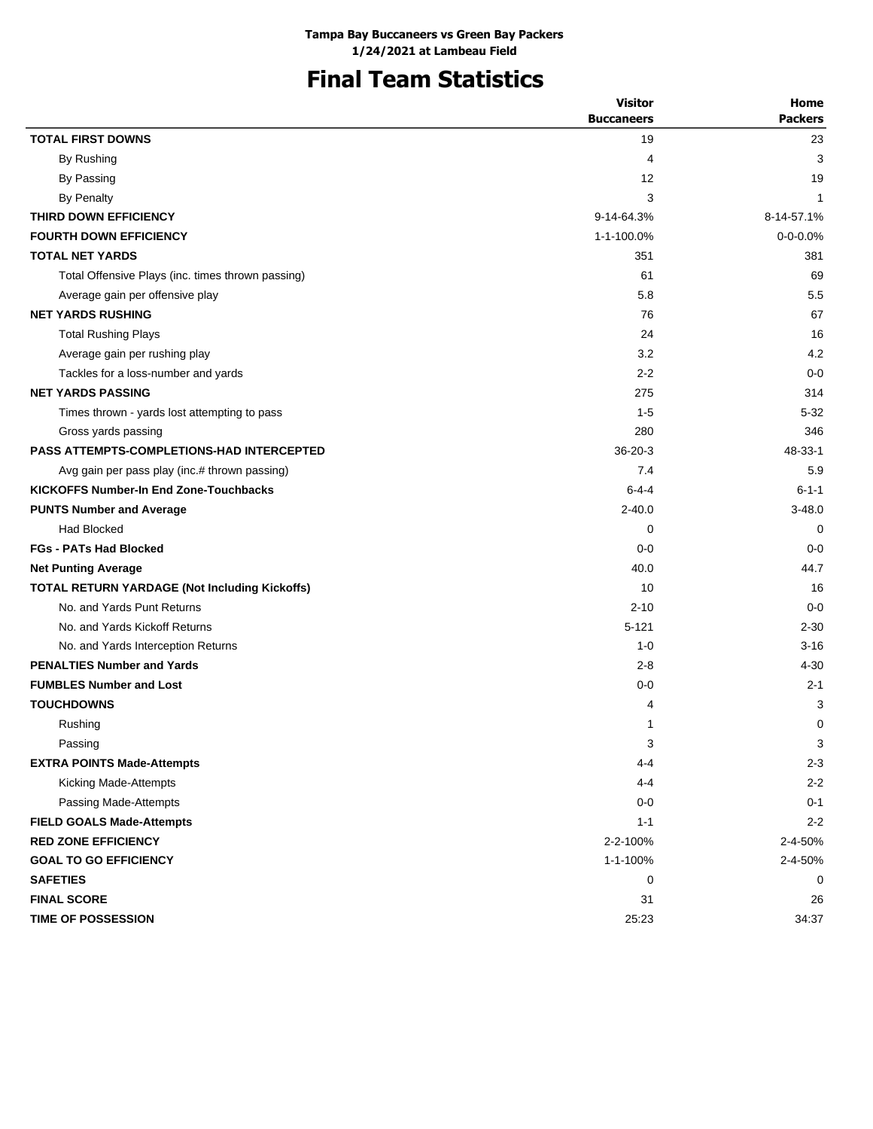# **Final Team Statistics**

|                                                      | <b>Visitor</b>    | Home           |
|------------------------------------------------------|-------------------|----------------|
|                                                      | <b>Buccaneers</b> | <b>Packers</b> |
| <b>TOTAL FIRST DOWNS</b>                             | 19                | 23             |
| By Rushing                                           | 4                 | 3              |
| By Passing                                           | 12                | 19             |
| <b>By Penalty</b>                                    | 3                 | 1              |
| THIRD DOWN EFFICIENCY                                | 9-14-64.3%        | 8-14-57.1%     |
| <b>FOURTH DOWN EFFICIENCY</b>                        | 1-1-100.0%        | $0 - 0 - 0.0%$ |
| <b>TOTAL NET YARDS</b>                               | 351               | 381            |
| Total Offensive Plays (inc. times thrown passing)    | 61                | 69             |
| Average gain per offensive play                      | 5.8               | 5.5            |
| <b>NET YARDS RUSHING</b>                             | 76                | 67             |
| <b>Total Rushing Plays</b>                           | 24                | 16             |
| Average gain per rushing play                        | 3.2               | 4.2            |
| Tackles for a loss-number and yards                  | $2 - 2$           | $0 - 0$        |
| <b>NET YARDS PASSING</b>                             | 275               | 314            |
| Times thrown - yards lost attempting to pass         | $1 - 5$           | 5-32           |
| Gross yards passing                                  | 280               | 346            |
| <b>PASS ATTEMPTS-COMPLETIONS-HAD INTERCEPTED</b>     | $36-20-3$         | 48-33-1        |
| Avg gain per pass play (inc.# thrown passing)        | 7.4               | 5.9            |
| <b>KICKOFFS Number-In End Zone-Touchbacks</b>        | $6 - 4 - 4$       | $6 - 1 - 1$    |
| <b>PUNTS Number and Average</b>                      | $2 - 40.0$        | $3 - 48.0$     |
| <b>Had Blocked</b>                                   | 0                 | $\mathbf 0$    |
| <b>FGs - PATs Had Blocked</b>                        | $0-0$             | $0 - 0$        |
| <b>Net Punting Average</b>                           | 40.0              | 44.7           |
| <b>TOTAL RETURN YARDAGE (Not Including Kickoffs)</b> | 10                | 16             |
| No. and Yards Punt Returns                           | $2 - 10$          | $0 - 0$        |
| No. and Yards Kickoff Returns                        | $5 - 121$         | $2 - 30$       |
| No. and Yards Interception Returns                   | $1 - 0$           | $3 - 16$       |
| <b>PENALTIES Number and Yards</b>                    | $2 - 8$           | 4-30           |
| <b>FUMBLES Number and Lost</b>                       | $0 - 0$           | $2 - 1$        |
| <b>TOUCHDOWNS</b>                                    | 4                 | 3              |
| Rushing                                              | $\mathbf{1}$      | 0              |
| Passing                                              | 3                 | 3              |
| <b>EXTRA POINTS Made-Attempts</b>                    | 4-4               | $2 - 3$        |
| Kicking Made-Attempts                                | 4-4               | $2 - 2$        |
| Passing Made-Attempts                                | $0-0$             | $0 - 1$        |
| <b>FIELD GOALS Made-Attempts</b>                     | $1 - 1$           | $2 - 2$        |
| <b>RED ZONE EFFICIENCY</b>                           | 2-2-100%          | 2-4-50%        |
| <b>GOAL TO GO EFFICIENCY</b>                         | 1-1-100%          | 2-4-50%        |
| <b>SAFETIES</b>                                      | 0                 | 0              |
| <b>FINAL SCORE</b>                                   | 31                | 26             |
| TIME OF POSSESSION                                   | 25:23             | 34:37          |
|                                                      |                   |                |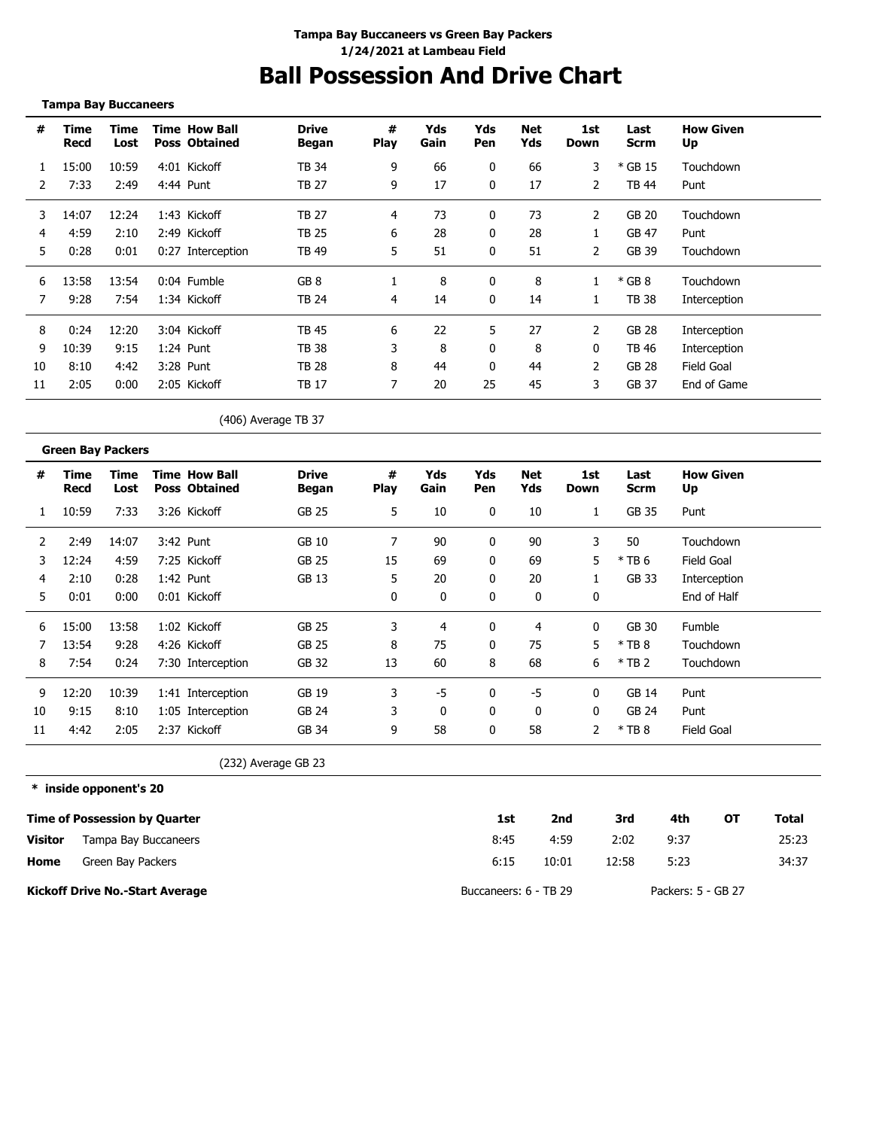### **Ball Possession And Drive Chart**

| #              | <b>Time</b><br><b>Recd</b> | <b>Time</b><br>Lost | <b>Time How Ball</b><br><b>Poss Obtained</b> | <b>Drive</b><br><b>Began</b> | #<br><b>Play</b> | Yds<br>Gain | Yds<br>Pen   | <b>Net</b><br>Yds | 1st<br><b>Down</b> | Last<br><b>Scrm</b> | <b>How Given</b><br>Up |  |
|----------------|----------------------------|---------------------|----------------------------------------------|------------------------------|------------------|-------------|--------------|-------------------|--------------------|---------------------|------------------------|--|
| 1              | 15:00                      | 10:59               | 4:01 Kickoff                                 | <b>TB 34</b>                 | 9                | 66          | $\mathbf{0}$ | 66                | 3                  | * GB 15             | Touchdown              |  |
| $\overline{2}$ | 7:33                       | 2:49                | 4:44 Punt                                    | <b>TB 27</b>                 | 9                | 17          | $\mathbf 0$  | 17                | $\overline{2}$     | <b>TB 44</b>        | Punt                   |  |
| 3              | 14:07                      | 12:24               | 1:43 Kickoff                                 | <b>TB 27</b>                 | 4                | 73          | 0            | 73                | $\overline{2}$     | <b>GB 20</b>        | Touchdown              |  |
| 4              | 4:59                       | 2:10                | 2:49 Kickoff                                 | <b>TB 25</b>                 | 6                | 28          | 0            | 28                | 1                  | <b>GB 47</b>        | Punt                   |  |
| 5              | 0:28                       | 0:01                | 0:27 Interception                            | <b>TB 49</b>                 | 5                | 51          | 0            | 51                | 2                  | GB 39               | Touchdown              |  |
| 6              | 13:58                      | 13:54               | 0:04 Fumble                                  | GB <sub>8</sub>              | $\mathbf{1}$     | 8           | 0            | 8                 | 1                  | $*$ GB 8            | Touchdown              |  |
| 7              | 9:28                       | 7:54                | 1:34 Kickoff                                 | <b>TB 24</b>                 | 4                | 14          | 0            | 14                | 1                  | <b>TB 38</b>        | Interception           |  |
| 8              | 0:24                       | 12:20               | 3:04 Kickoff                                 | <b>TB 45</b>                 | 6                | 22          | 5            | 27                | $\overline{2}$     | <b>GB 28</b>        | Interception           |  |
| 9              | 10:39                      | 9:15                | 1:24 Punt                                    | <b>TB 38</b>                 | 3                | 8           | 0            | 8                 | 0                  | <b>TB 46</b>        | Interception           |  |
| 10             | 8:10                       | 4:42                | 3:28 Punt                                    | <b>TB 28</b>                 | 8                | 44          | 0            | 44                | 2                  | <b>GB 28</b>        | <b>Field Goal</b>      |  |
| 11             | 2:05                       | 0:00                | 2:05 Kickoff                                 | <b>TB 17</b>                 | 7                | 20          | 25           | 45                | 3                  | <b>GB 37</b>        | End of Game            |  |
|                |                            |                     |                                              | (406) Average TB 37          |                  |             |              |                   |                    |                     |                        |  |
|                | <b>Green Bay Packers</b>   |                     |                                              |                              |                  |             |              |                   |                    |                     |                        |  |
| #              | <b>Time</b><br>Recd        | <b>Time</b><br>Lost | <b>Time How Ball</b><br><b>Poss Obtained</b> | <b>Drive</b><br><b>Began</b> | #<br><b>Play</b> | Yds<br>Gain | Yds<br>Pen   | <b>Net</b><br>Yds | 1st<br>Down        | Last<br><b>Scrm</b> | <b>How Given</b><br>Up |  |
| 1              | 10:59                      | 7:33                | 3:26 Kickoff                                 | <b>GB 25</b>                 | 5                | 10          | 0            | 10                | $\mathbf{1}$       | <b>GB 35</b>        | Punt                   |  |
| 2              | 2:49                       | 14:07               | 3:42 Punt                                    | <b>GB 10</b>                 | $\overline{7}$   | 90          | 0            | 90                | 3                  | 50                  | Touchdown              |  |
| 3              | 12:24                      | 4:59                | 7:25 Kickoff                                 | <b>GB 25</b>                 | 15               | 69          | 0            | 69                | 5                  | $*$ TB 6            | <b>Field Goal</b>      |  |
| 4              | 2:10                       | 0:28                | 1:42 Punt                                    | <b>GB 13</b>                 | 5                | 20          | 0            | 20                | 1                  | <b>GB 33</b>        | Interception           |  |
| 5              | 0:01                       | 0:00                | 0:01 Kickoff                                 |                              | 0                | 0           | 0            | 0                 | 0                  |                     | End of Half            |  |
| 6              | 15:00                      | 13:58               | 1:02 Kickoff                                 | <b>GB 25</b>                 | 3                | 4           | 0            | $\overline{4}$    | 0                  | GB 30               | Fumble                 |  |
| 7              | 13:54                      | 9:28                | 4:26 Kickoff                                 | <b>GB 25</b>                 | 8                | 75          | 0            | 75                | 5                  | $*$ TB 8            | Touchdown              |  |
| 8              | 7:54                       | 0:24                | 7:30 Interception                            | GB 32                        | 13               | 60          | 8            | 68                | 6                  | $*$ TB 2            | Touchdown              |  |
| 9              | 12:20                      | 10:39               | 1:41 Interception                            | <b>GB 19</b>                 | 3                | $-5$        | 0            | $-5$              | 0                  | <b>GB 14</b>        | Punt                   |  |
| 10             | 9:15                       | 8:10                | 1:05 Interception                            | GB 24                        | 3                | $\mathbf 0$ | 0            | 0                 | $\mathbf{0}$       | <b>GB 24</b>        | Punt                   |  |

(232) Average GB 23

**\* inside opponent's 20**

|         | Time of Possession by Quarter          | 1st                   | 2nd   | 3rd   | 4th                | ΟТ | Total |
|---------|----------------------------------------|-----------------------|-------|-------|--------------------|----|-------|
| Visitor | Tampa Bay Buccaneers                   | 8:45                  | 4:59  | 2:02  | 9:37               |    | 25:23 |
| Home    | Green Bay Packers                      | 6:15                  | 10:01 | 12:58 | 5:23               |    | 34:37 |
|         | <b>Kickoff Drive No.-Start Average</b> | Buccaneers: 6 - TB 29 |       |       | Packers: 5 - GB 27 |    |       |

11 4:42 2:05 2:37 Kickoff GB 34 9 58 0 58 2 \* TB 8 Field Goal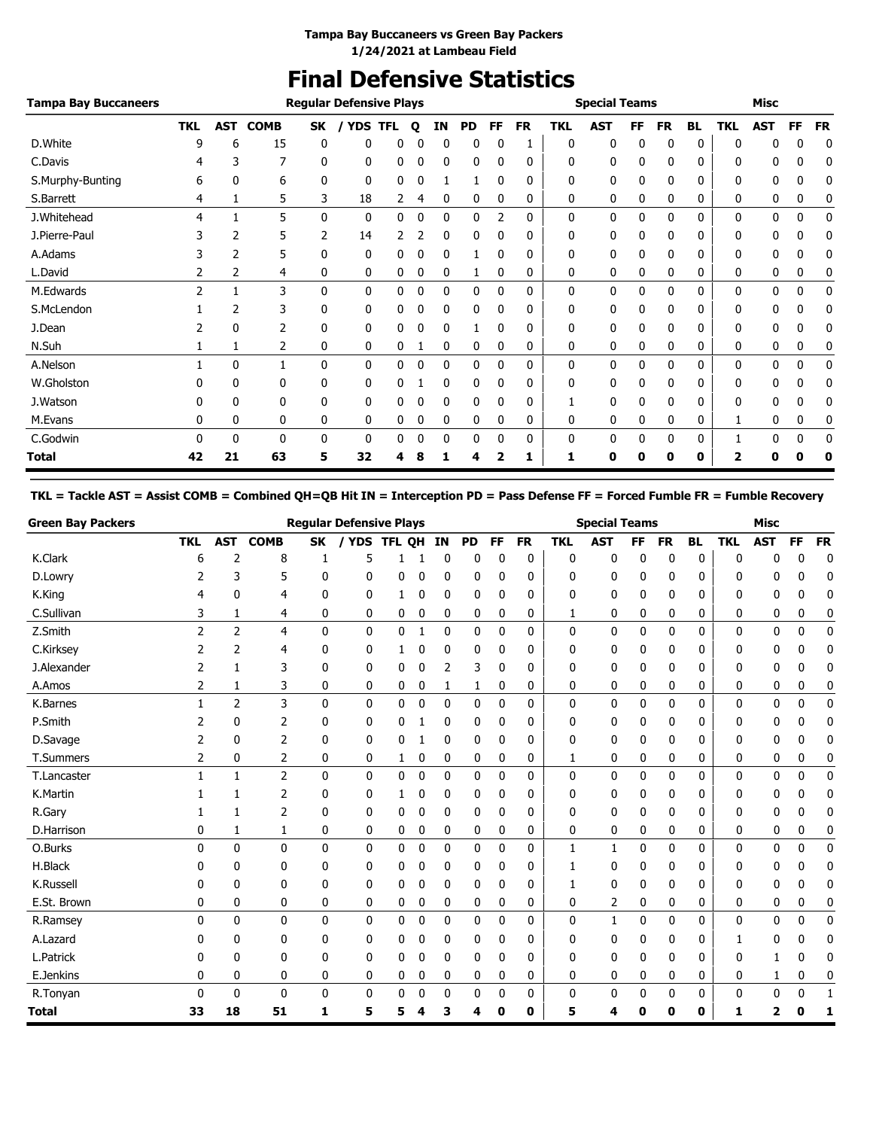# **Final Defensive Statistics**

| <b>Tampa Bay Buccaneers</b> |               |                |              |              | <b>Regular Defensive Plays</b> |            |   |              |    |              |           |            | <b>Special Teams</b> |    |              |              |              | Misc       |    |           |
|-----------------------------|---------------|----------------|--------------|--------------|--------------------------------|------------|---|--------------|----|--------------|-----------|------------|----------------------|----|--------------|--------------|--------------|------------|----|-----------|
|                             | <b>TKL</b>    | <b>AST</b>     | <b>COMB</b>  | SK           | <b>YDS</b>                     | <b>TFL</b> | Q | IN           | PD | FF           | <b>FR</b> | <b>TKL</b> | <b>AST</b>           | FF | <b>FR</b>    | <b>BL</b>    | <b>TKL</b>   | <b>AST</b> | FF | <b>FR</b> |
| D.White                     | 9             | 6              | 15           | 0            | 0                              | 0          |   | 0            | 0  | 0            |           | 0          | 0                    | 0  | 0            | 0            | 0            | 0          | 0  | 0         |
| C.Davis                     |               | 3              |              | 0            | 0                              | 0          |   | 0            | 0  | 0            | 0         | 0          | 0                    |    | 0            | 0            | 0            | 0          | 0  | 0         |
| S.Murphy-Bunting            |               | 0              | 6            | 0            | 0                              | 0          |   |              |    |              | 0         | 0          | 0                    |    | 0            | 0            | 0            | 0          |    | C         |
| S.Barrett                   | 4             |                | 5            | 3            | 18                             | 2          | 4 | 0            | 0  | 0            | 0         | 0          | 0                    | 0  | 0            | 0            | 0            | 0          | 0  | 0         |
| J.Whitehead                 | 4             |                | 5            | 0            | $\mathbf 0$                    | 0          | 0 | 0            | 0  | 2            | 0         | 0          | 0                    | 0  | 0            | 0            | 0            | 0          | 0  | 0         |
| J.Pierre-Paul               |               | 2              | 5            | 2            | 14                             | 2          |   | 0            | 0  | 0            | 0         | 0          | 0                    | 0  | 0            | 0            | 0            | 0          | 0  | 0         |
| A.Adams                     |               | 2              | 5            | 0            | 0                              | 0          |   | 0            |    | 0            | 0         | 0          | 0                    |    | 0            | 0            | 0            | 0          | 0  | 0         |
| L.David                     |               | 2              | 4            | 0            | 0                              | 0          | 0 | 0            |    | 0            | 0         | 0          | 0                    | 0  | 0            | 0            | 0            | 0          | 0  | 0         |
| M.Edwards                   | $\mathcal{P}$ |                | 3            | $\mathbf{0}$ | $\mathbf{0}$                   | 0          | 0 | 0            | 0  | $\Omega$     | 0         | 0          | 0                    | 0  | 0            | 0            | $\mathbf{0}$ | 0          | 0  | 0         |
| S.McLendon                  |               | $\overline{2}$ | 3            | 0            | 0                              | 0          | 0 | 0            | 0  | $\mathbf{0}$ | 0         | 0          | 0                    | 0  | $\mathbf{0}$ | 0            | 0            | 0          | 0  | 0         |
| J.Dean                      |               | $\mathbf{0}$   | 2            | 0            | 0                              | 0          | 0 | $\mathbf{0}$ |    | 0            | 0         | 0          | 0                    | 0  | 0            | 0            | 0            | 0          | 0  | 0         |
| N.Suh                       |               |                | 2            | 0            | 0                              | 0          |   | 0            | 0  | 0            | 0         | 0          | 0                    | 0  | 0            | 0            | 0            | 0          | 0  | 0         |
| A.Nelson                    |               | 0              | 1            | 0            | 0                              | 0          | 0 | 0            | 0  | 0            | 0         | 0          | 0                    | 0  | 0            | $\mathbf{0}$ | 0            | 0          | 0  | 0         |
| W.Gholston                  |               | 0              | 0            | 0            | 0                              | 0          |   | 0            | 0  | $\Omega$     | 0         | 0          | 0                    | 0  | 0            | 0            | 0            | 0          | 0  | 0         |
| J.Watson                    |               | 0              | 0            | 0            | 0                              | 0          |   | $\mathbf{0}$ | 0  | 0            | 0         |            | 0                    | 0  | 0            | 0            | 0            | 0          | 0  | 0         |
| M.Evans                     | 0             | 0              | 0            | 0            | 0                              | 0          | 0 | 0            | 0  | 0            | 0         | 0          | 0                    | 0  | 0            | 0            | 1            | 0          | 0  | 0         |
| C.Godwin                    | 0             | $\mathbf{0}$   | $\mathbf{0}$ | $\mathbf{0}$ | 0                              | 0          | 0 | 0            | 0  | $\mathbf{0}$ | 0         | 0          | 0                    | 0  | $\mathbf{0}$ | $\mathbf{0}$ |              | 0          | 0  | 0         |
| Total                       | 42            | 21             | 63           | 5            | 32                             | 4          | 8 |              |    |              | 1         |            | 0                    | 0  | 0            | 0            | 2            | O          |    |           |

#### **TKL = Tackle AST = Assist COMB = Combined QH=QB Hit IN = Interception PD = Pass Defense FF = Forced Fumble FR = Fumble Recovery**

| <b>Green Bay Packers</b> |                |                |                |              | <b>Regular Defensive Plays</b> |              |              |    |           |    |           |              | <b>Special Teams</b> |              |              |           |              | <b>Misc</b> |              |             |
|--------------------------|----------------|----------------|----------------|--------------|--------------------------------|--------------|--------------|----|-----------|----|-----------|--------------|----------------------|--------------|--------------|-----------|--------------|-------------|--------------|-------------|
|                          | <b>TKL</b>     | <b>AST</b>     | <b>COMB</b>    | SK           | / YDS                          | TFL.         | <b>OH</b>    | IN | <b>PD</b> | FF | <b>FR</b> | <b>TKL</b>   | <b>AST</b>           | <b>FF</b>    | <b>FR</b>    | <b>BL</b> | <b>TKL</b>   | <b>AST</b>  | <b>FF</b>    | <b>FR</b>   |
| K.Clark                  | 6              | 2              | 8              | 1            | 5                              |              |              | 0  | 0         | 0  | 0         | 0            | 0                    | 0            | 0            | 0         | 0            | 0           | 0            | 0           |
| D.Lowry                  |                | 3              | 5              | 0            | 0                              | 0            | 0            | 0  | 0         | 0  | 0         | 0            | 0                    | 0            | 0            | 0         | 0            | 0           | ŋ            | 0           |
| K.King                   | 4              | 0              | 4              | 0            | 0                              | 1            | 0            | 0  | 0         | 0  | 0         | 0            | 0                    | 0            | 0            | 0         | 0            | 0           | 0            | 0           |
| C.Sullivan               | 3              | 1              | 4              | 0            | 0                              | 0            | 0            | 0  | 0         | 0  | 0         | 1            | 0                    | 0            | 0            | 0         | 0            | 0           | 0            | 0           |
| Z.Smith                  | $\overline{2}$ | $\overline{2}$ | 4              | $\mathbf{0}$ | 0                              | $\mathbf{0}$ | $\mathbf{1}$ | 0  | 0         | 0  | 0         | 0            | $\mathbf 0$          | $\mathbf{0}$ | 0            | 0         | 0            | 0           | $\Omega$     | $\mathbf 0$ |
| C.Kirksey                | 2              | 2              | 4              | 0            | 0                              | 1            | 0            | 0  | 0         | 0  | 0         | 0            | 0                    | 0            | 0            | 0         | 0            | 0           | <sup>0</sup> | 0           |
| J.Alexander              | 2              | 1              | 3              | 0            | 0                              | 0            | 0            | 2  | 3         | 0  | 0         | 0            | $\mathbf 0$          | 0            | 0            | 0         | 0            | 0           | 0            | 0           |
| A.Amos                   | 2              | 1              | 3              | 0            | 0                              | 0            | 0            | 1  | 1         | 0  | 0         | 0            | 0                    | 0            | 0            | 0         | 0            | 0           | 0            | 0           |
| K.Barnes                 | 1              | $\overline{2}$ | 3              | $\mathbf{0}$ | $\mathbf{0}$                   | 0            | $\bf{0}$     | 0  | 0         | 0  | 0         | $\mathbf{0}$ | 0                    | 0            | 0            | 0         | 0            | 0           | 0            | 0           |
| P.Smith                  | 2              | 0              | 2              | 0            | 0                              | 0            |              | 0  | 0         | 0  | 0         | 0            | 0                    | 0            | 0            | 0         | 0            | 0           |              | 0           |
| D.Savage                 | 2              | 0              | 2              | 0            | 0                              | 0            | 1            | 0  | 0         | 0  | 0         | 0            | 0                    | 0            | 0            | 0         | 0            | 0           | O            | 0           |
| T.Summers                | 2              | 0              | 2              | 0            | 0                              | 1            | 0            | 0  | 0         | 0  | 0         | $\mathbf{1}$ | 0                    | $\mathbf 0$  | 0            | 0         | 0            | 0           | 0            | 0           |
| T.Lancaster              | 1              | $\mathbf{1}$   | $\overline{2}$ | $\mathbf{0}$ | $\mathbf{0}$                   | 0            | $\mathbf 0$  | 0  | 0         | 0  | 0         | $\mathbf{0}$ | 0                    | 0            | $\mathbf{0}$ | 0         | 0            | 0           | $\mathbf{0}$ | 0           |
| K.Martin                 |                | 1              | $\overline{2}$ | 0            | 0                              | 1            | 0            | 0  | 0         | 0  | 0         | 0            | 0                    | 0            | 0            | 0         | 0            | 0           |              | 0           |
| R.Gary                   |                | 1              | 2              | 0            | 0                              | 0            | 0            | 0  | 0         | 0  | 0         | $\mathbf{0}$ | 0                    | 0            | 0            | 0         | 0            | 0           | 0            | 0           |
| D.Harrison               | 0              | 1              | 1              | 0            | 0                              | 0            | 0            | 0  | 0         | 0  | 0         | 0            | 0                    | 0            | 0            | 0         | 0            | 0           | 0            | 0           |
| O.Burks                  | 0              | $\mathbf{0}$   | $\mathbf{0}$   | 0            | 0                              | 0            | 0            | 0  | 0         | 0  | 0         | $\mathbf{1}$ | 1                    | 0            | $\mathbf{0}$ | 0         | $\mathbf{0}$ | 0           | $\mathbf{0}$ | 0           |
| H.Black                  | 0              | 0              | 0              | 0            | 0                              | 0            | 0            | 0  | 0         | 0  | 0         | 1            | 0                    | 0            | 0            | 0         | 0            | 0           | 0            | 0           |
| K.Russell                | 0              | 0              | 0              | 0            | 0                              | 0            | 0            | 0  | 0         | 0  | 0         |              | 0                    | 0            | 0            | 0         | 0            | 0           | 0            | 0           |
| E.St. Brown              | 0              | 0              | 0              | 0            | 0                              | 0            | 0            | 0  | 0         | 0  | 0         | 0            | 2                    | 0            | 0            | 0         | 0            | 0           | 0            | 0           |
| R.Ramsey                 | 0              | $\Omega$       | $\mathbf{0}$   | $\Omega$     | 0                              | 0            | 0            | 0  | 0         | 0  | 0         | $\mathbf{0}$ | 1                    | 0            | 0            | 0         | 0            | 0           | 0            | 0           |
| A.Lazard                 | 0              | 0              | 0              | 0            | 0                              | 0            | 0            | 0  | 0         | 0  | 0         | 0            | 0                    | 0            | 0            | 0         | 1            | 0           |              | 0           |
| L.Patrick                | 0              | 0              | 0              | 0            | 0                              | 0            | 0            | 0  | 0         | 0  | 0         | 0            | 0                    | 0            | 0            | 0         | 0            |             | 0            | 0           |
| E.Jenkins                | 0              | $\mathbf{0}$   | $\mathbf 0$    | 0            | 0                              | 0            | 0            | 0  | 0         | 0  | 0         | 0            | 0                    | 0            | 0            | 0         | 0            | 1           | 0            | 0           |
| R.Tonyan                 | 0              | $\mathbf{0}$   | $\mathbf 0$    | $\mathbf{0}$ | 0                              | 0            | $\mathbf 0$  | 0  | 0         | 0  | 0         | 0            | 0                    | 0            | 0            | 0         | 0            | 0           | $\mathbf{0}$ |             |
| <b>Total</b>             | 33             | 18             | 51             | 1            | 5                              | 5            | 4            | 3  | 4         | 0  | 0         | 5            | 4                    | 0            | 0            | 0         | 1            | 2           | 0            | 1           |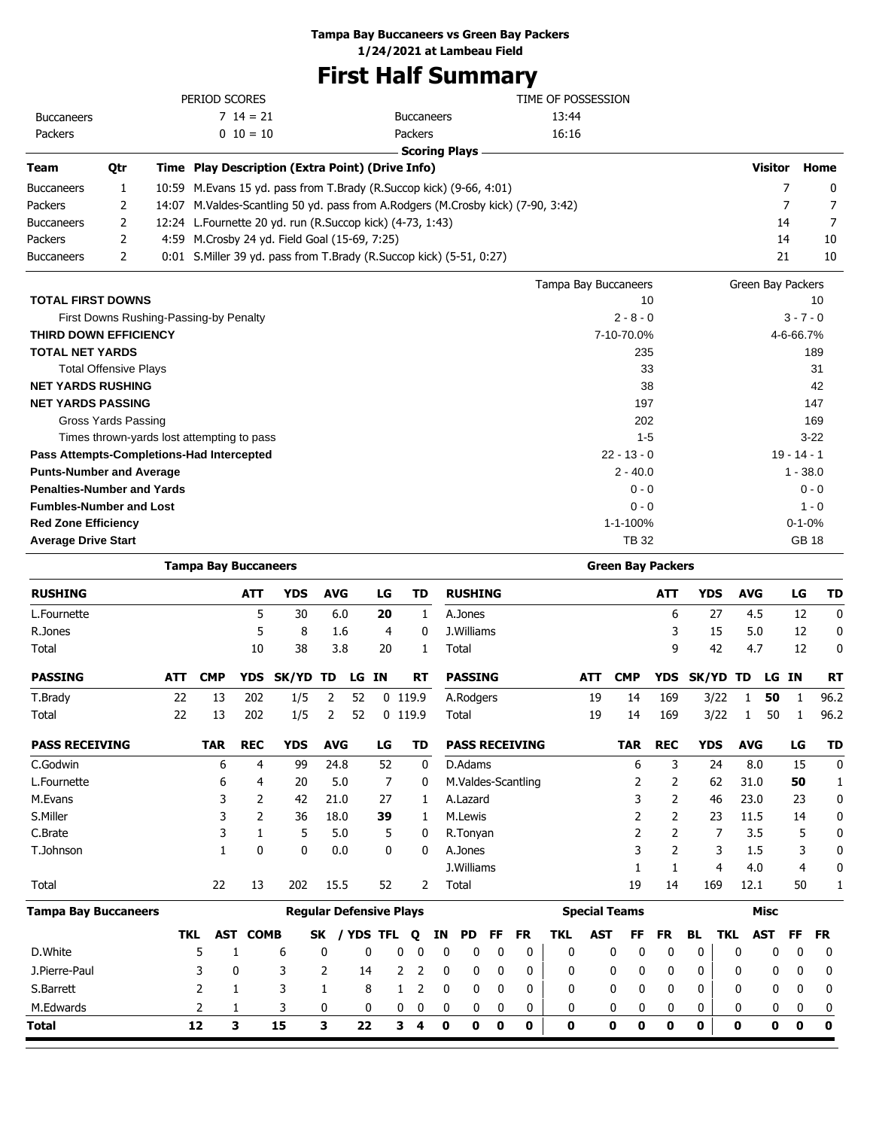#### **Tampa Bay Buccaneers vs Green Bay Packers**

**1/24/2021 at Lambeau Field**

# **First Half Summary**

|                                                                      |                                            |       |                             |            |                                                     |            |    |       |                   | <b>First Half Summary</b>                                                        |                      |                             |                |            |                   |         |                             |             |
|----------------------------------------------------------------------|--------------------------------------------|-------|-----------------------------|------------|-----------------------------------------------------|------------|----|-------|-------------------|----------------------------------------------------------------------------------|----------------------|-----------------------------|----------------|------------|-------------------|---------|-----------------------------|-------------|
|                                                                      |                                            |       | PERIOD SCORES               |            |                                                     |            |    |       |                   |                                                                                  | TIME OF POSSESSION   |                             |                |            |                   |         |                             |             |
| <b>Buccaneers</b>                                                    |                                            |       |                             | $714 = 21$ |                                                     |            |    |       | <b>Buccaneers</b> |                                                                                  | 13:44                |                             |                |            |                   |         |                             |             |
| Packers                                                              |                                            |       |                             | $0\ 10=10$ |                                                     |            |    |       | Packers           |                                                                                  | 16:16                |                             |                |            |                   |         |                             |             |
|                                                                      |                                            |       |                             |            |                                                     |            |    |       |                   | <b>Scoring Plays</b>                                                             |                      |                             |                |            |                   |         |                             |             |
| Team                                                                 | Qtr                                        |       |                             |            | Time Play Description (Extra Point) (Drive Info)    |            |    |       |                   |                                                                                  |                      |                             |                |            |                   | Visitor |                             | Home        |
| <b>Buccaneers</b>                                                    | 1                                          | 10:59 |                             |            |                                                     |            |    |       |                   | M. Evans 15 yd. pass from T. Brady (R. Succop kick) (9-66, 4:01)                 |                      |                             |                |            |                   |         | 7                           | 0           |
| Packers                                                              | 2                                          |       |                             |            |                                                     |            |    |       |                   | 14:07 M.Valdes-Scantling 50 yd. pass from A.Rodgers (M.Crosby kick) (7-90, 3:42) |                      |                             |                |            |                   |         | 7                           | 7           |
| <b>Buccaneers</b>                                                    | 2                                          | 12:24 |                             |            | L.Fournette 20 yd. run (R.Succop kick) (4-73, 1:43) |            |    |       |                   |                                                                                  |                      |                             |                |            |                   | 14      |                             | 7           |
| Packers                                                              | 2                                          | 4:59  |                             |            | M.Crosby 24 yd. Field Goal (15-69, 7:25)            |            |    |       |                   |                                                                                  |                      |                             |                |            |                   | 14      |                             | 10          |
| <b>Buccaneers</b>                                                    | 2                                          |       |                             |            |                                                     |            |    |       |                   | 0:01 S.Miller 39 yd. pass from T.Brady (R.Succop kick) (5-51, 0:27)              |                      |                             |                |            |                   | 21      |                             | 10          |
|                                                                      |                                            |       |                             |            |                                                     |            |    |       |                   |                                                                                  | Tampa Bay Buccaneers |                             |                |            | Green Bay Packers |         |                             |             |
| <b>TOTAL FIRST DOWNS</b>                                             |                                            |       |                             |            |                                                     |            |    |       |                   |                                                                                  |                      |                             | 10             |            |                   |         |                             | 10          |
|                                                                      | First Downs Rushing-Passing-by Penalty     |       |                             |            |                                                     |            |    |       |                   |                                                                                  |                      | $2 - 8 - 0$                 |                |            |                   |         | $3 - 7 - 0$                 |             |
| <b>THIRD DOWN EFFICIENCY</b>                                         |                                            |       |                             |            |                                                     |            |    |       |                   |                                                                                  |                      | 7-10-70.0%                  |                |            |                   |         | 4-6-66.7%                   |             |
| <b>TOTAL NET YARDS</b>                                               |                                            |       |                             |            |                                                     |            |    |       |                   |                                                                                  |                      | 235                         |                |            |                   |         |                             | 189         |
|                                                                      | <b>Total Offensive Plays</b>               |       |                             |            |                                                     |            |    |       |                   |                                                                                  |                      |                             | 33             |            |                   |         |                             | 31          |
| <b>NET YARDS RUSHING</b>                                             |                                            |       |                             |            |                                                     |            |    |       |                   |                                                                                  |                      |                             | 38             |            |                   |         |                             | 42          |
| <b>NET YARDS PASSING</b>                                             |                                            |       |                             |            |                                                     |            |    |       |                   |                                                                                  |                      | 197                         |                |            |                   |         |                             | 147         |
|                                                                      | <b>Gross Yards Passing</b>                 |       |                             |            |                                                     |            |    |       |                   |                                                                                  |                      | 202                         |                |            |                   |         |                             | 169         |
|                                                                      | Times thrown-yards lost attempting to pass |       |                             |            |                                                     |            |    |       |                   |                                                                                  |                      | $1 - 5$                     |                |            |                   |         |                             | $3-22$      |
| Pass Attempts-Completions-Had Intercepted                            |                                            |       |                             |            |                                                     |            |    |       |                   |                                                                                  |                      | $22 - 13 - 0$<br>$2 - 40.0$ |                |            |                   |         | $19 - 14 - 1$<br>$1 - 38.0$ |             |
| <b>Punts-Number and Average</b><br><b>Penalties-Number and Yards</b> |                                            |       |                             |            |                                                     |            |    |       |                   |                                                                                  |                      | $0 - 0$                     |                |            |                   |         | $0 - 0$                     |             |
| <b>Fumbles-Number and Lost</b>                                       |                                            |       |                             |            |                                                     |            |    |       |                   |                                                                                  |                      | $0 - 0$                     |                |            |                   |         | $1 - 0$                     |             |
| <b>Red Zone Efficiency</b>                                           |                                            |       |                             |            |                                                     |            |    |       |                   |                                                                                  |                      | 1-1-100%                    |                |            |                   |         | $0 - 1 - 0%$                |             |
| <b>Average Drive Start</b>                                           |                                            |       |                             |            |                                                     |            |    |       |                   |                                                                                  |                      | <b>TB32</b>                 |                |            |                   |         | <b>GB 18</b>                |             |
|                                                                      |                                            |       | <b>Tampa Bay Buccaneers</b> |            |                                                     |            |    |       |                   |                                                                                  |                      | <b>Green Bay Packers</b>    |                |            |                   |         |                             |             |
| <b>RUSHING</b>                                                       |                                            |       |                             | <b>ATT</b> | YDS                                                 | <b>AVG</b> |    | LG    | TD                | <b>RUSHING</b>                                                                   |                      |                             | ATT            | <b>YDS</b> | <b>AVG</b>        |         | LG                          | TD          |
| L.Fournette                                                          |                                            |       |                             | 5          | 30                                                  | 6.0        |    | 20    | $\mathbf{1}$      | A.Jones                                                                          |                      |                             | 6              | 27         | 4.5               |         | 12                          | 0           |
| R.Jones                                                              |                                            |       |                             | 5          | 8                                                   | 1.6        |    | 4     | 0                 | J.Williams                                                                       |                      |                             | 3              | 15         | 5.0               |         | 12                          | 0           |
| Total                                                                |                                            |       |                             | 10         | 38                                                  | 3.8        |    | 20    | 1                 | Total                                                                            |                      |                             | 9              | 42         | 4.7               |         | 12                          | 0           |
| <b>PASSING</b>                                                       |                                            | ATT   | <b>CMP</b>                  | YDS        | SK/YD TD                                            |            |    | LG IN | RT                | <b>PASSING</b>                                                                   | ATT                  | <b>CMP</b>                  | YDS.           | SK/YD TD   |                   | LG IN   |                             | <b>RT</b>   |
| T.Brady                                                              |                                            | 22    | 13                          | 202        | 1/5                                                 | 2          | 52 |       | $0$ 119.9         | A.Rodgers                                                                        | 19                   | 14                          | 169            | 3/22       | 1                 | 50      | 1                           | 96.2        |
| Total                                                                |                                            | 22    | 13                          | 202        | 1/5                                                 | 2          | 52 |       | $0$ 119.9         | Total                                                                            | 19                   | 14                          | 169            | 3/22       | 1                 | 50      | 1                           | 96.2        |
| <b>PASS RECEIVING</b>                                                |                                            |       | <b>TAR</b>                  | <b>REC</b> | <b>YDS</b>                                          | <b>AVG</b> |    | LG    | <b>TD</b>         | <b>PASS RECEIVING</b>                                                            |                      | <b>TAR</b>                  | <b>REC</b>     | <b>YDS</b> | <b>AVG</b>        |         | LG                          | <b>TD</b>   |
| C.Godwin                                                             |                                            |       | 6                           | 4          | 99                                                  | 24.8       |    | 52    | 0                 | D.Adams                                                                          |                      | 6                           | 3              | 24         | 8.0               |         | 15                          | $\mathbf 0$ |
| L.Fournette                                                          |                                            |       | 6                           | 4          | 20                                                  | 5.0        |    | 7     | 0                 | M.Valdes-Scantling                                                               |                      | 2                           | $\overline{2}$ | 62         | 31.0              |         | 50                          | 1           |
| M.Evans                                                              |                                            |       | 3                           | 2          | 42                                                  | 21.0       |    | 27    | 1                 | A.Lazard                                                                         |                      | 3                           | $\overline{2}$ | 46         | 23.0              |         | 23                          | $\mathbf 0$ |
| S.Miller                                                             |                                            |       | 3                           | 2          | 36                                                  | 18.0       |    | 39    | 1                 | M.Lewis                                                                          |                      | 2                           | $\overline{2}$ | 23         | 11.5              |         | 14                          | 0           |
| C.Brate                                                              |                                            |       | 3                           | 1          | 5                                                   | 5.0        |    | 5     | 0                 | R.Tonyan                                                                         |                      | 2                           | $\overline{2}$ | 7          | 3.5               |         | 5                           | 0           |
| T.Johnson                                                            |                                            |       | $\mathbf{1}$                | 0          | 0                                                   | $0.0\,$    |    | 0     | 0                 | A.Jones                                                                          |                      | 3                           | $\overline{2}$ | 3          | $1.5\,$           |         | 3                           | 0           |

| <b>Tampa Bay Buccaneers</b> |     |     |             |    | <b>Regular Defensive Plays</b> |   |   |    |     |          |              |              | <b>Special Teams</b> |          |     |     |     | Misc |   |       |
|-----------------------------|-----|-----|-------------|----|--------------------------------|---|---|----|-----|----------|--------------|--------------|----------------------|----------|-----|-----|-----|------|---|-------|
|                             | TKL | AST | <b>COMB</b> | SK | / YDS TFL                      |   | 0 | ΙN | PD. | FF.      | <b>FR</b>    | TKL          | <b>AST</b>           | FF       | FR. | BL. | TKL | AST  |   | FF FR |
| D.White                     |     |     | b           | 0  |                                |   | 0 |    |     | 0        | 0            | $\mathbf{0}$ |                      | 0        |     |     | 0   |      | 0 |       |
| J.Pierre-Paul               |     |     |             |    | 14                             |   |   |    |     | $\Omega$ | $\mathbf 0$  | 0            | 0                    | $\Omega$ |     |     | 0   | 0    | 0 | - ( ) |
| S.Barrett                   |     |     |             |    | 8                              |   |   |    |     | 0        | 0            | 0            |                      | 0        |     |     | 0   | 0    | 0 |       |
| M.Edwards                   |     |     | २           | 0  | 0                              | 0 |   |    |     | $\Omega$ | $\mathbf{0}$ | 0            | 0                    |          |     |     |     |      | 0 | - 0   |
| <b>Total</b>                | 12  |     | 15          |    | 22                             | 3 | 4 | o  | 0   | 0        | $\mathbf 0$  | 0            | 0                    | 0        | 0   | 0   | 0   |      | 0 | 0     |

Total 19 14 169 12.1 50 1 169 12.1 50 1

J. Williams 1 1 1 4 4.0 4 0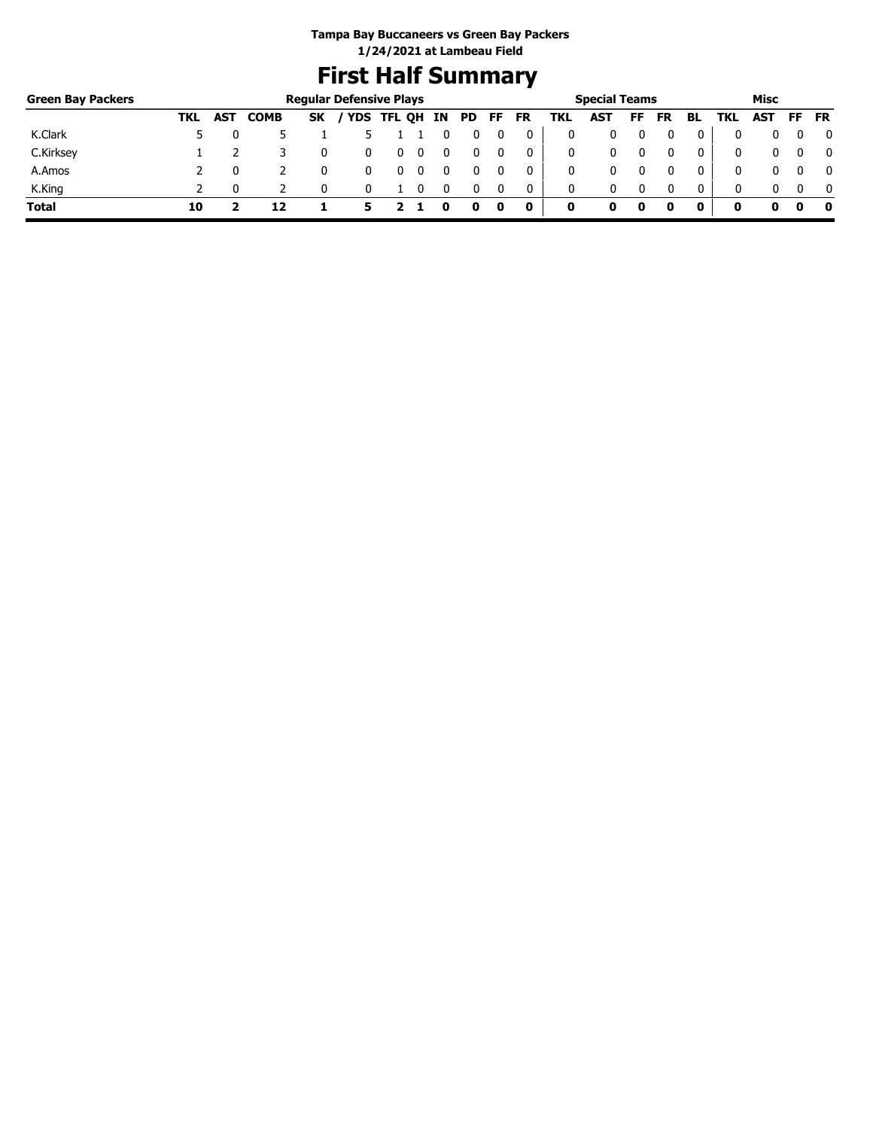# **First Half Summary**

| <b>Green Bay Packers</b> |     |            |             |           | <b>Regular Defensive Plays</b> |   |   |    |     |     |           |     | <b>Special Teams</b> |    |           |              |     | Misc |     |              |
|--------------------------|-----|------------|-------------|-----------|--------------------------------|---|---|----|-----|-----|-----------|-----|----------------------|----|-----------|--------------|-----|------|-----|--------------|
|                          | TKL | <b>AST</b> | <b>COMB</b> | <b>SK</b> | / YDS TFL QH                   |   |   | IN | PD. | FF. | <b>FR</b> | TKL | AST                  | FF | <b>FR</b> | BL           | TKL | AST  | FF. | <b>FR</b>    |
| K.Clark                  |     |            |             |           |                                |   |   |    |     |     | 0         |     |                      |    |           |              |     |      |     | 0            |
| C.Kirksey                |     |            |             |           |                                | υ | 0 |    |     |     | 0         |     | 0                    |    |           | 0            | 0   |      |     | $\mathbf{0}$ |
| A.Amos                   |     |            |             |           |                                |   |   |    |     |     | 0         |     | 0                    |    |           | 0            | 0   |      |     | $\mathbf{0}$ |
| K.King                   |     |            |             |           |                                |   |   |    |     |     | 0         | 0   | 0                    |    | 0         | $\mathbf{0}$ | 0   |      |     | $\mathbf{0}$ |
| <b>Total</b>             | 10  |            | 12          |           |                                |   |   |    |     | 0   | 0         | 0   |                      | 0  |           | 0            | o   | o    |     | - 0          |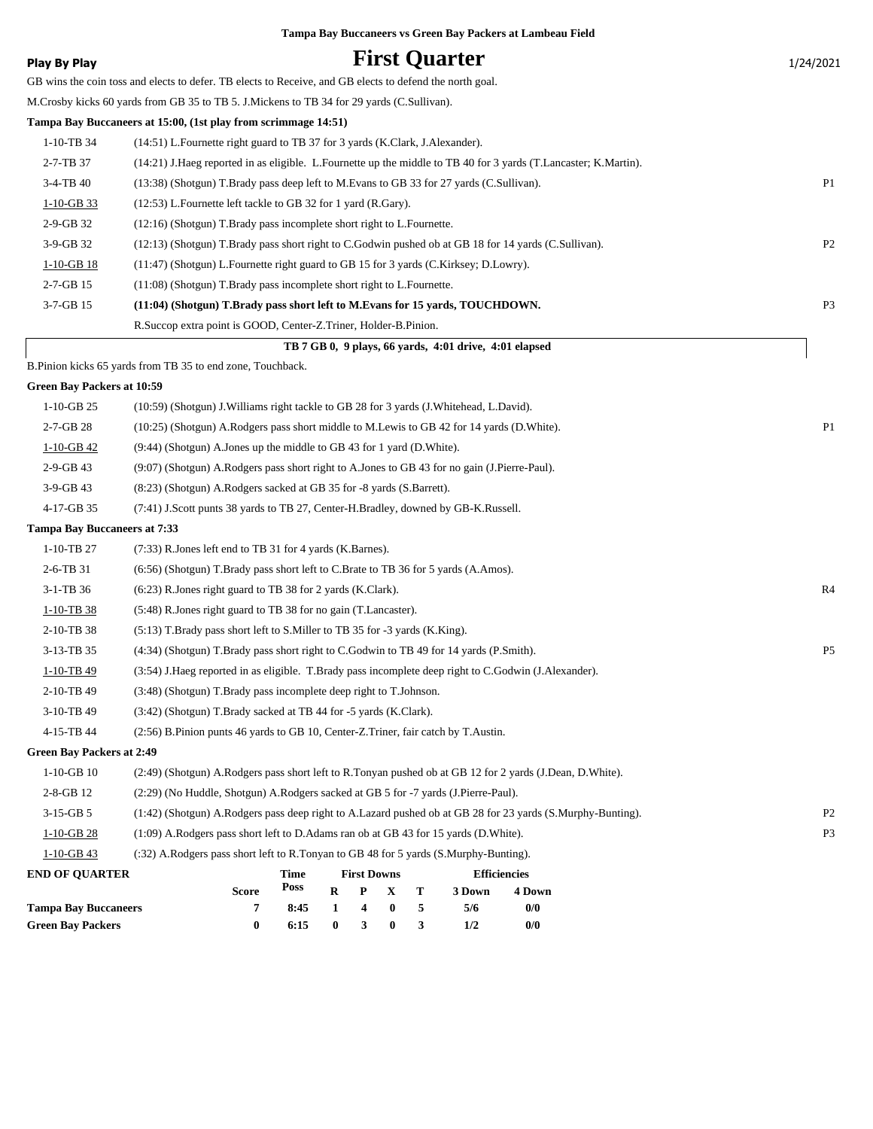|                                     |                                                                                                                 |              |                  |                    |                       |        | Tampa Bay Buccaneers vs Green Bay Packers at Lambeau Field |                     |  |                |
|-------------------------------------|-----------------------------------------------------------------------------------------------------------------|--------------|------------------|--------------------|-----------------------|--------|------------------------------------------------------------|---------------------|--|----------------|
| <b>Play By Play</b>                 |                                                                                                                 |              |                  |                    |                       |        | <b>First Quarter</b>                                       |                     |  | 1/24/2021      |
|                                     | GB wins the coin toss and elects to defer. TB elects to Receive, and GB elects to defend the north goal.        |              |                  |                    |                       |        |                                                            |                     |  |                |
|                                     | M.Crosby kicks 60 yards from GB 35 to TB 5. J.Mickens to TB 34 for 29 yards (C.Sullivan).                       |              |                  |                    |                       |        |                                                            |                     |  |                |
|                                     | Tampa Bay Buccaneers at 15:00, (1st play from scrimmage 14:51)                                                  |              |                  |                    |                       |        |                                                            |                     |  |                |
| 1-10-TB 34                          | (14:51) L.Fournette right guard to TB 37 for 3 yards (K.Clark, J.Alexander).                                    |              |                  |                    |                       |        |                                                            |                     |  |                |
| 2-7-TB 37                           | (14:21) J.Haeg reported in as eligible. L.Fournette up the middle to TB 40 for 3 yards (T.Lancaster; K.Martin). |              |                  |                    |                       |        |                                                            |                     |  |                |
| 3-4-TB 40                           | (13:38) (Shotgun) T.Brady pass deep left to M.Evans to GB 33 for 27 yards (C.Sullivan).                         |              |                  |                    |                       |        |                                                            |                     |  | P <sub>1</sub> |
| $1-10-GB$ 33                        | (12:53) L. Fournette left tackle to GB 32 for 1 yard (R. Gary).                                                 |              |                  |                    |                       |        |                                                            |                     |  |                |
| 2-9-GB 32                           | (12:16) (Shotgun) T.Brady pass incomplete short right to L.Fournette.                                           |              |                  |                    |                       |        |                                                            |                     |  |                |
| 3-9-GB 32                           | (12:13) (Shotgun) T.Brady pass short right to C.Godwin pushed ob at GB 18 for 14 yards (C.Sullivan).            |              |                  |                    |                       |        |                                                            |                     |  | P2             |
| $1-10-GB$ 18                        | (11:47) (Shotgun) L.Fournette right guard to GB 15 for 3 yards (C.Kirksey; D.Lowry).                            |              |                  |                    |                       |        |                                                            |                     |  |                |
| 2-7-GB 15                           | (11:08) (Shotgun) T.Brady pass incomplete short right to L.Fournette.                                           |              |                  |                    |                       |        |                                                            |                     |  |                |
| 3-7-GB 15                           | (11:04) (Shotgun) T.Brady pass short left to M.Evans for 15 yards, TOUCHDOWN.                                   |              |                  |                    |                       |        |                                                            |                     |  | P <sub>3</sub> |
|                                     | R.Succop extra point is GOOD, Center-Z.Triner, Holder-B.Pinion.                                                 |              |                  |                    |                       |        |                                                            |                     |  |                |
|                                     |                                                                                                                 |              |                  |                    |                       |        | TB 7 GB 0, 9 plays, 66 yards, 4:01 drive, 4:01 elapsed     |                     |  |                |
|                                     | B.Pinion kicks 65 yards from TB 35 to end zone, Touchback.                                                      |              |                  |                    |                       |        |                                                            |                     |  |                |
| <b>Green Bay Packers at 10:59</b>   |                                                                                                                 |              |                  |                    |                       |        |                                                            |                     |  |                |
| $1-10-GB$ 25                        | (10:59) (Shotgun) J. Williams right tackle to GB 28 for 3 yards (J. Whitehead, L. David).                       |              |                  |                    |                       |        |                                                            |                     |  |                |
| 2-7-GB 28                           | (10:25) (Shotgun) A.Rodgers pass short middle to M.Lewis to GB 42 for 14 yards (D.White).                       |              |                  |                    |                       |        |                                                            |                     |  | P <sub>1</sub> |
| $1-10-GB$ 42                        | $(9:44)$ (Shotgun) A. Jones up the middle to GB 43 for 1 yard (D. White).                                       |              |                  |                    |                       |        |                                                            |                     |  |                |
| 2-9-GB 43                           | (9:07) (Shotgun) A.Rodgers pass short right to A.Jones to GB 43 for no gain (J.Pierre-Paul).                    |              |                  |                    |                       |        |                                                            |                     |  |                |
| 3-9-GB 43                           | (8:23) (Shotgun) A.Rodgers sacked at GB 35 for -8 yards (S.Barrett).                                            |              |                  |                    |                       |        |                                                            |                     |  |                |
| 4-17-GB 35                          | (7:41) J.Scott punts 38 yards to TB 27, Center-H.Bradley, downed by GB-K.Russell.                               |              |                  |                    |                       |        |                                                            |                     |  |                |
| <b>Tampa Bay Buccaneers at 7:33</b> |                                                                                                                 |              |                  |                    |                       |        |                                                            |                     |  |                |
| 1-10-TB 27                          | $(7:33)$ R. Jones left end to TB 31 for 4 yards (K. Barnes).                                                    |              |                  |                    |                       |        |                                                            |                     |  |                |
| 2-6-TB 31                           | (6:56) (Shotgun) T.Brady pass short left to C.Brate to TB 36 for 5 yards (A.Amos).                              |              |                  |                    |                       |        |                                                            |                     |  |                |
| 3-1-TB 36                           | $(6:23)$ R. Jones right guard to TB 38 for 2 yards $(K.Clark)$ .                                                |              |                  |                    |                       |        |                                                            |                     |  | R4             |
| $1-10-TB$ 38                        | (5:48) R.Jones right guard to TB 38 for no gain (T.Lancaster).                                                  |              |                  |                    |                       |        |                                                            |                     |  |                |
| 2-10-TB 38                          | (5:13) T.Brady pass short left to S.Miller to TB 35 for -3 yards (K.King).                                      |              |                  |                    |                       |        |                                                            |                     |  |                |
| 3-13-TB 35                          | (4:34) (Shotgun) T.Brady pass short right to C.Godwin to TB 49 for 14 yards (P.Smith).                          |              |                  |                    |                       |        |                                                            |                     |  | P <sub>5</sub> |
| 1-10-TB 49                          | (3:54) J.Haeg reported in as eligible. T.Brady pass incomplete deep right to C.Godwin (J.Alexander).            |              |                  |                    |                       |        |                                                            |                     |  |                |
| 2-10-TB 49                          | (3:48) (Shotgun) T.Brady pass incomplete deep right to T.Johnson.                                               |              |                  |                    |                       |        |                                                            |                     |  |                |
| 3-10-TB 49                          | (3:42) (Shotgun) T.Brady sacked at TB 44 for -5 yards (K.Clark).                                                |              |                  |                    |                       |        |                                                            |                     |  |                |
| 4-15-TB 44                          | (2:56) B.Pinion punts 46 yards to GB 10, Center-Z.Triner, fair catch by T.Austin.                               |              |                  |                    |                       |        |                                                            |                     |  |                |
| <b>Green Bay Packers at 2:49</b>    |                                                                                                                 |              |                  |                    |                       |        |                                                            |                     |  |                |
| $1-10-GB$ 10                        | (2:49) (Shotgun) A.Rodgers pass short left to R.Tonyan pushed ob at GB 12 for 2 yards (J.Dean, D.White).        |              |                  |                    |                       |        |                                                            |                     |  |                |
| 2-8-GB 12                           | (2:29) (No Huddle, Shotgun) A.Rodgers sacked at GB 5 for -7 yards (J.Pierre-Paul).                              |              |                  |                    |                       |        |                                                            |                     |  |                |
| $3-15-GB5$                          | (1:42) (Shotgun) A.Rodgers pass deep right to A.Lazard pushed ob at GB 28 for 23 yards (S.Murphy-Bunting).      |              |                  |                    |                       |        |                                                            |                     |  | P <sub>2</sub> |
| $1-10-GB$ 28                        | (1:09) A.Rodgers pass short left to D.Adams ran ob at GB 43 for 15 yards (D.White).                             |              |                  |                    |                       |        |                                                            |                     |  | P <sub>3</sub> |
| $1-10-GB$ 43                        | (:32) A.Rodgers pass short left to R.Tonyan to GB 48 for 5 yards (S.Murphy-Bunting).                            |              |                  |                    |                       |        |                                                            |                     |  |                |
| <b>END OF QUARTER</b>               |                                                                                                                 | Time<br>Poss |                  | <b>First Downs</b> |                       |        |                                                            | <b>Efficiencies</b> |  |                |
| <b>Tampa Bay Buccaneers</b>         | <b>Score</b><br>7                                                                                               | 8:45         | $\mathbf R$<br>1 | P<br>4             | X<br>$\boldsymbol{0}$ | т<br>5 | 3 Down<br>5/6                                              | 4 Down<br>0/0       |  |                |
| <b>Green Bay Packers</b>            | $\bf{0}$                                                                                                        | 6:15         | $\bf{0}$         | 3                  | $\boldsymbol{0}$      | 3      | 1/2                                                        | 0/0                 |  |                |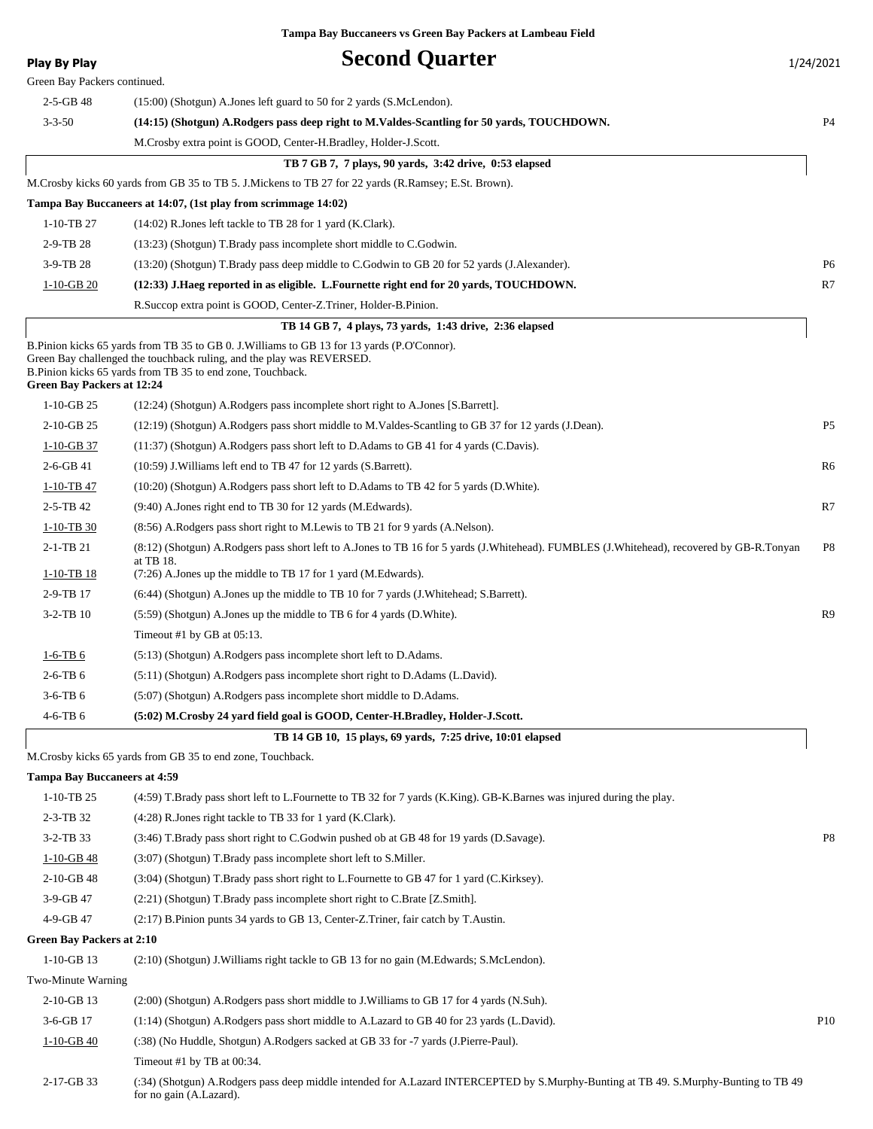| <b>Play By Play</b>                 | <b>Second Quarter</b>                                                                                                                                                                                                                | 1/24/2021       |
|-------------------------------------|--------------------------------------------------------------------------------------------------------------------------------------------------------------------------------------------------------------------------------------|-----------------|
| Green Bay Packers continued.        |                                                                                                                                                                                                                                      |                 |
| $2-5-GB$ 48                         | (15:00) (Shotgun) A.Jones left guard to 50 for 2 yards (S.McLendon).                                                                                                                                                                 |                 |
| $3 - 3 - 50$                        | (14:15) (Shotgun) A.Rodgers pass deep right to M.Valdes-Scantling for 50 yards, TOUCHDOWN.                                                                                                                                           | P <sub>4</sub>  |
|                                     | M. Crosby extra point is GOOD, Center-H. Bradley, Holder-J. Scott.                                                                                                                                                                   |                 |
|                                     | TB 7 GB 7, 7 plays, 90 yards, 3:42 drive, 0:53 elapsed                                                                                                                                                                               |                 |
|                                     | M.Crosby kicks 60 yards from GB 35 to TB 5. J.Mickens to TB 27 for 22 yards (R.Ramsey; E.St. Brown).                                                                                                                                 |                 |
|                                     | Tampa Bay Buccaneers at 14:07, (1st play from scrimmage 14:02)                                                                                                                                                                       |                 |
| 1-10-TB 27                          | (14:02) R.Jones left tackle to TB 28 for 1 yard (K.Clark).                                                                                                                                                                           |                 |
| $2-9-TB28$                          | (13:23) (Shotgun) T.Brady pass incomplete short middle to C.Godwin.                                                                                                                                                                  |                 |
| 3-9-TB 28                           | (13:20) (Shotgun) T.Brady pass deep middle to C.Godwin to GB 20 for 52 yards (J.Alexander).                                                                                                                                          | P6              |
| $1-10-GB20$                         | (12:33) J.Haeg reported in as eligible. L.Fournette right end for 20 yards, TOUCHDOWN.                                                                                                                                               | R7              |
|                                     | R. Succop extra point is GOOD, Center-Z. Triner, Holder-B. Pinion.                                                                                                                                                                   |                 |
|                                     | TB 14 GB 7, 4 plays, 73 yards, 1:43 drive, 2:36 elapsed                                                                                                                                                                              |                 |
| Green Bay Packers at 12:24          | B. Pinion kicks 65 yards from TB 35 to GB 0. J. Williams to GB 13 for 13 yards (P.O'Connor).<br>Green Bay challenged the touchback ruling, and the play was REVERSED.<br>B. Pinion kicks 65 yards from TB 35 to end zone, Touchback. |                 |
| $1-10-GB$ 25                        | (12:24) (Shotgun) A.Rodgers pass incomplete short right to A.Jones [S.Barrett].                                                                                                                                                      |                 |
| $2-10-GB$ 25                        | (12:19) (Shotgun) A.Rodgers pass short middle to M.Valdes-Scantling to GB 37 for 12 yards (J.Dean).                                                                                                                                  | P <sub>5</sub>  |
| $1 - 10 - GB$ 37                    | (11:37) (Shotgun) A.Rodgers pass short left to D.Adams to GB 41 for 4 yards (C.Davis).                                                                                                                                               |                 |
| $2-6-GB$ 41                         | $(10:59)$ J. Williams left end to TB 47 for 12 yards $(S.Barrett)$ .                                                                                                                                                                 | R <sub>6</sub>  |
| 1-10-TB 47                          | (10:20) (Shotgun) A.Rodgers pass short left to D.Adams to TB 42 for 5 yards (D.White).                                                                                                                                               |                 |
| $2 - 5 - TB + 42$                   | (9:40) A. Jones right end to TB 30 for 12 yards (M. Edwards).                                                                                                                                                                        | R7              |
| $1-10-TB$ 30                        | (8.56) A.Rodgers pass short right to M.Lewis to TB 21 for 9 yards (A.Nelson).                                                                                                                                                        |                 |
| $2-1-TB$ 21                         | (8:12) (Shotgun) A.Rodgers pass short left to A.Jones to TB 16 for 5 yards (J.Whitehead). FUMBLES (J.Whitehead), recovered by GB-R.Tonyan<br>at TB 18.                                                                               | P8              |
| $1-10-TB$ 18                        | (7:26) A.Jones up the middle to TB 17 for 1 yard (M.Edwards).                                                                                                                                                                        |                 |
| $2-9-TB$ 17                         | $(6:44)$ (Shotgun) A. Jones up the middle to TB 10 for 7 yards (J. Whitehead; S. Barrett).                                                                                                                                           |                 |
| 3-2-TB 10                           | (5:59) (Shotgun) A.Jones up the middle to TB 6 for 4 yards (D.White).                                                                                                                                                                | R9              |
|                                     | Timeout #1 by GB at 05:13.                                                                                                                                                                                                           |                 |
| $1-6-TB$ 6                          | (5:13) (Shotgun) A.Rodgers pass incomplete short left to D.Adams.                                                                                                                                                                    |                 |
| $2-6$ -TB $6$                       | (5:11) (Shotgun) A.Rodgers pass incomplete short right to D.Adams (L.David).                                                                                                                                                         |                 |
| 3-6-TB 6                            | (5:07) (Shotgun) A.Rodgers pass incomplete short middle to D.Adams.                                                                                                                                                                  |                 |
| 4-6-TB 6                            | (5:02) M.Crosby 24 yard field goal is GOOD, Center-H.Bradley, Holder-J.Scott.                                                                                                                                                        |                 |
|                                     | TB 14 GB 10, 15 plays, 69 yards, 7:25 drive, 10:01 elapsed                                                                                                                                                                           |                 |
|                                     | M.Crosby kicks 65 yards from GB 35 to end zone, Touchback.                                                                                                                                                                           |                 |
| <b>Tampa Bay Buccaneers at 4:59</b> |                                                                                                                                                                                                                                      |                 |
| 1-10-TB 25                          | (4:59) T.Brady pass short left to L.Fournette to TB 32 for 7 yards (K.King). GB-K.Barnes was injured during the play.                                                                                                                |                 |
| 2-3-TB 32                           | (4:28) R.Jones right tackle to TB 33 for 1 yard (K.Clark).                                                                                                                                                                           |                 |
| 3-2-TB 33                           | (3:46) T.Brady pass short right to C.Godwin pushed ob at GB 48 for 19 yards (D.Savage).                                                                                                                                              | P8              |
| $1 - 10 - GB - 48$                  | (3:07) (Shotgun) T.Brady pass incomplete short left to S.Miller.                                                                                                                                                                     |                 |
| $2-10-GB$ 48                        | (3:04) (Shotgun) T.Brady pass short right to L.Fournette to GB 47 for 1 yard (C.Kirksey).                                                                                                                                            |                 |
| 3-9-GB 47                           | (2:21) (Shotgun) T.Brady pass incomplete short right to C.Brate [Z.Smith].                                                                                                                                                           |                 |
| 4-9-GB 47                           | (2:17) B. Pinion punts 34 yards to GB 13, Center-Z. Triner, fair catch by T. Austin.                                                                                                                                                 |                 |
| <b>Green Bay Packers at 2:10</b>    |                                                                                                                                                                                                                                      |                 |
| $1-10-GB$ 13                        | (2:10) (Shotgun) J. Williams right tackle to GB 13 for no gain (M. Edwards; S. McLendon).                                                                                                                                            |                 |
| Two-Minute Warning                  |                                                                                                                                                                                                                                      |                 |
| 2-10-GB 13                          | (2:00) (Shotgun) A.Rodgers pass short middle to J.Williams to GB 17 for 4 yards (N.Suh).                                                                                                                                             |                 |
| 3-6-GB 17                           | (1:14) (Shotgun) A.Rodgers pass short middle to A.Lazard to GB 40 for 23 yards (L.David).                                                                                                                                            | P <sub>10</sub> |
| $1 - 10 - GB40$                     | (:38) (No Huddle, Shotgun) A.Rodgers sacked at GB 33 for -7 yards (J.Pierre-Paul).                                                                                                                                                   |                 |
|                                     | Timeout #1 by TB at 00:34.                                                                                                                                                                                                           |                 |
| 2-17-GB 33                          | (:34) (Shotgun) A.Rodgers pass deep middle intended for A.Lazard INTERCEPTED by S.Murphy-Bunting at TB 49. S.Murphy-Bunting to TB 49                                                                                                 |                 |

for no gain (A.Lazard).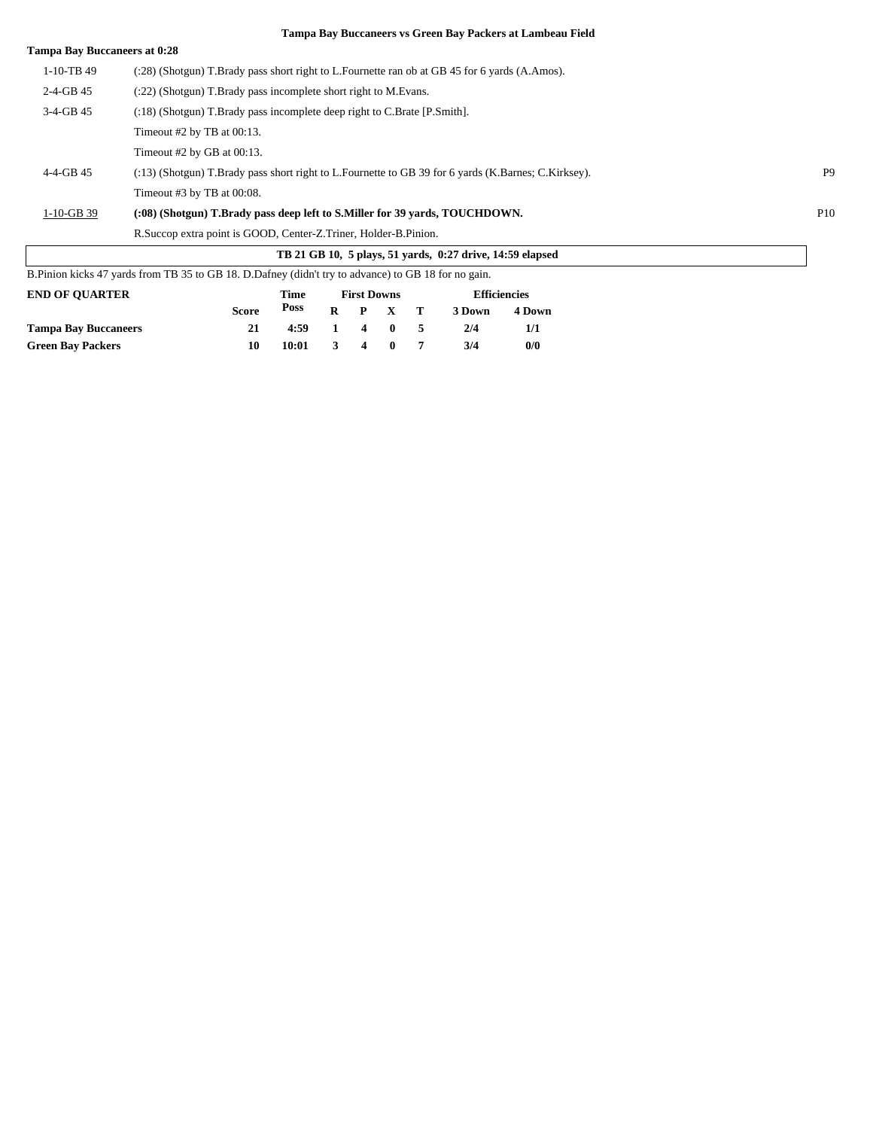| <b>Tampa Bay Buccaneers at 0:28</b> |                                                                                                       |                |
|-------------------------------------|-------------------------------------------------------------------------------------------------------|----------------|
| $1-10-TB$ 49                        | (:28) (Shotgun) T.Brady pass short right to L.Fournette ran ob at GB 45 for 6 yards (A.Amos).         |                |
| $2-4-GB$ 45                         | (:22) (Shotgun) T.Brady pass incomplete short right to M.Evans.                                       |                |
| $3-4-GB$ 45                         | (:18) (Shotgun) T.Brady pass incomplete deep right to C.Brate [P.Smith].                              |                |
|                                     | Timeout #2 by TB at $00:13$ .                                                                         |                |
|                                     | Timeout #2 by GB at $0.13$ .                                                                          |                |
| $4 - 4 - GB$ 45                     | (:13) (Shotgun) T.Brady pass short right to L.Fournette to GB 39 for 6 yards (K.Barnes; C.Kirksey).   | P <sub>9</sub> |
|                                     | Timeout $#3$ by TB at 00:08.                                                                          |                |
| $1-10-GB$ 39                        | (:08) (Shotgun) T.Brady pass deep left to S.Miller for 39 yards, TOUCHDOWN.                           | P10            |
|                                     | R. Succop extra point is GOOD, Center-Z. Triner, Holder-B. Pinion.                                    |                |
|                                     | TB 21 GB 10, 5 plays, 51 yards, 0:27 drive, 14:59 elapsed                                             |                |
|                                     | B. Pinion kicks 47 yards from TB 35 to GB 18. D. Dafney (didn't try to advance) to GB 18 for no gain. |                |

| <b>END OF OUARTER</b>       |              | <b>First Downs</b> |    |   |              | <b>Efficiencies</b> |        |        |
|-----------------------------|--------------|--------------------|----|---|--------------|---------------------|--------|--------|
|                             | <b>Score</b> | Poss               | R  |   | P X T        |                     | 3 Down | 4 Down |
| <b>Tampa Bay Buccaneers</b> | 21           | 4:59               | 1. | 4 | $\mathbf{0}$ | -5                  | 2/4    | 1/1    |
| <b>Green Bay Packers</b>    | 10           | 10:01              | 3  | 4 | $\mathbf{0}$ |                     | 3/4    | 0/0    |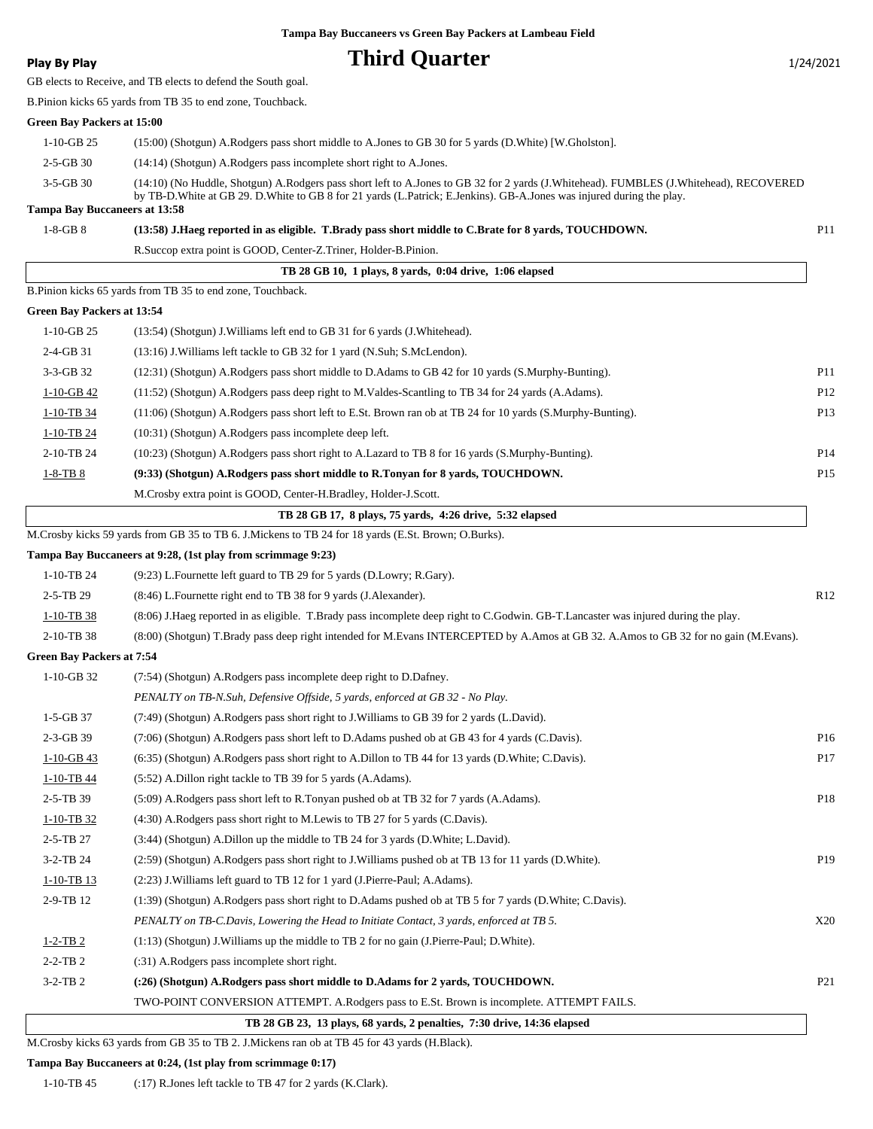### **Play By Play Play Play Play Play By Play Third Quarter 1/24/2021**

GB elects to Receive, and TB elects to defend the South goal.

B.Pinion kicks 65 yards from TB 35 to end zone, Touchback.

#### **Green Bay Packers at 15:00**

| 1-10-GB 25                    | (15:00) (Shotgun) A.Rodgers pass short middle to A.Jones to GB 30 for 5 yards (D.White) [W.Gholston].                                                                                                                                                               |
|-------------------------------|---------------------------------------------------------------------------------------------------------------------------------------------------------------------------------------------------------------------------------------------------------------------|
| $2 - 5 - GB$ 30               | $(14:14)$ (Shotgun) A.Rodgers pass incomplete short right to A.Jones.                                                                                                                                                                                               |
| $3-5-GB30$                    | (14:10) (No Huddle, Shotgun) A.Rodgers pass short left to A.Jones to GB 32 for 2 yards (J.Whitehead). FUMBLES (J.Whitehead), RECOVERED<br>by TB-D. White at GB 29. D. White to GB 8 for 21 yards (L. Patrick; E. Jenkins). GB-A. Jones was injured during the play. |
| Tampa Bay Buccaneers at 13:58 |                                                                                                                                                                                                                                                                     |

| $1-8-GB8$ | (13:58) J.Haeg reported in as eligible. T.Brady pass short middle to C.Brate for 8 yards, TOUCHDOWN. |  |
|-----------|------------------------------------------------------------------------------------------------------|--|
|-----------|------------------------------------------------------------------------------------------------------|--|

R.Succop extra point is GOOD, Center-Z.Triner, Holder-B.Pinion.

|                            | TB 28 GB 10, 1 plays, 8 yards, 0:04 drive, 1:06 elapsed                                                     |                 |
|----------------------------|-------------------------------------------------------------------------------------------------------------|-----------------|
|                            | B. Pinion kicks 65 yards from TB 35 to end zone, Touchback.                                                 |                 |
| Green Bay Packers at 13:54 |                                                                                                             |                 |
| $1-10-GB$ 25               | $(13:54)$ (Shotgun) J. Williams left end to GB 31 for 6 yards (J. Whitehead).                               |                 |
| $2-4-GB$ 31                | $(13:16)$ J. Williams left tackle to GB 32 for 1 yard (N. Suh; S. McLendon).                                |                 |
| $3-3-GB$ 32                | (12:31) (Shotgun) A.Rodgers pass short middle to D.Adams to GB 42 for 10 yards (S.Murphy-Bunting).          | P <sub>11</sub> |
| $1-10-GB$ 42               | (11:52) (Shotgun) A.Rodgers pass deep right to M.Valdes-Scantling to TB 34 for 24 yards (A.Adams).          | P <sub>12</sub> |
| 1-10-TB 34                 | (11:06) (Shotgun) A.Rodgers pass short left to E.St. Brown ran ob at TB 24 for 10 yards (S.Murphy-Bunting). | P <sub>13</sub> |
| 1-10-TB 24                 | (10:31) (Shotgun) A.Rodgers pass incomplete deep left.                                                      |                 |
| 2-10-TB 24                 | (10:23) (Shotgun) A.Rodgers pass short right to A.Lazard to TB 8 for 16 yards (S.Murphy-Bunting).           | P <sub>14</sub> |
| $1-8-TB8$                  | (9:33) (Shotgun) A.Rodgers pass short middle to R.Tonyan for 8 yards, TOUCHDOWN.                            | P <sub>15</sub> |
|                            | M. Crosby extra point is GOOD, Center-H. Bradley, Holder-J. Scott.                                          |                 |
|                            |                                                                                                             |                 |

|  | TB 28 GB 17, 8 plays, 75 yards, 4:26 drive, 5:32 elapsed |  |  |
|--|----------------------------------------------------------|--|--|
|--|----------------------------------------------------------|--|--|

M.Crosby kicks 59 yards from GB 35 to TB 6. J.Mickens to TB 24 for 18 yards (E.St. Brown; O.Burks).

#### **Tampa Bay Buccaneers at 9:28, (1st play from scrimmage 9:23)**

| $1-10-TR$ 24 | $(9:23)$ L. Fournette left guard to TB 29 for 5 yards (D. Lowry; R. Gary).                                                           |     |
|--------------|--------------------------------------------------------------------------------------------------------------------------------------|-----|
| $2-5-TB$ 29  | $(8:46)$ L. Fournette right end to TB 38 for 9 yards (J. Alexander).                                                                 | R12 |
| 1-10-TB 38   | (8.06) J.Haeg reported in as eligible. T.Brady pass incomplete deep right to C.Godwin. GB-T.Lancaster was injured during the play.   |     |
| $2-10-TB$ 38 | (8:00) (Shotgun) T.Brady pass deep right intended for M.Evans INTERCEPTED by A.Amos at GB 32. A.Amos to GB 32 for no gain (M.Evans). |     |

#### **Green Bay Packers at 7:54**

| $1-10-GB$ 32    | (7:54) (Shotgun) A.Rodgers pass incomplete deep right to D.Dafney.                                       |                 |
|-----------------|----------------------------------------------------------------------------------------------------------|-----------------|
|                 | PENALTY on TB-N.Suh, Defensive Offside, 5 yards, enforced at GB 32 - No Play.                            |                 |
| $1-5-GB37$      | (7:49) (Shotgun) A.Rodgers pass short right to J.Williams to GB 39 for 2 yards (L.David).                |                 |
| $2-3-GB$ 39     | (7:06) (Shotgun) A.Rodgers pass short left to D.Adams pushed ob at GB 43 for 4 yards (C.Davis).          | P <sub>16</sub> |
| $1-10-GB$ 43    | (6:35) (Shotgun) A.Rodgers pass short right to A.Dillon to TB 44 for 13 yards (D.White; C.Davis).        | P <sub>17</sub> |
| $1-10-TB$ 44    | (5:52) A.Dillon right tackle to TB 39 for 5 yards (A.Adams).                                             |                 |
| $2-5-TB$ 39     | (5:09) A.Rodgers pass short left to R.Tonyan pushed ob at TB 32 for 7 yards (A.Adams).                   | P18             |
| $1-10-TB$ 32    | (4.30) A.Rodgers pass short right to M.Lewis to TB 27 for 5 yards (C.Davis).                             |                 |
| $2 - 5 - TB 27$ | (3:44) (Shotgun) A.Dillon up the middle to TB 24 for 3 yards (D.White; L.David).                         |                 |
| $3-2-TB$ 24     | (2:59) (Shotgun) A.Rodgers pass short right to J.Williams pushed ob at TB 13 for 11 yards (D.White).     | P <sub>19</sub> |
| $1-10-TB$ 13    | (2:23) J. Williams left guard to TB 12 for 1 yard (J. Pierre-Paul; A. Adams).                            |                 |
| $2-9-TB$ 12     | (1:39) (Shotgun) A.Rodgers pass short right to D.Adams pushed ob at TB 5 for 7 yards (D.White; C.Davis). |                 |
|                 | PENALTY on TB-C.Davis, Lowering the Head to Initiate Contact, 3 yards, enforced at TB 5.                 | X20             |
| $1-2-TB2$       | $(1:13)$ (Shotgun) J. Williams up the middle to TB 2 for no gain (J. Pierre-Paul; D. White).             |                 |
| $2-2-TB2$       | (:31) A.Rodgers pass incomplete short right.                                                             |                 |
| $3-2-TB$ 2      | (:26) (Shotgun) A.Rodgers pass short middle to D.Adams for 2 yards, TOUCHDOWN.                           | P <sub>21</sub> |
|                 | TWO-POINT CONVERSION ATTEMPT. A.Rodgers pass to E.St. Brown is incomplete. ATTEMPT FAILS.                |                 |

 **TB 28 GB 23, 13 plays, 68 yards, 2 penalties, 7:30 drive, 14:36 elapsed**

M.Crosby kicks 63 yards from GB 35 to TB 2. J.Mickens ran ob at TB 45 for 43 yards (H.Black).

#### **Tampa Bay Buccaneers at 0:24, (1st play from scrimmage 0:17)**

1-10-TB 45 (:17) R.Jones left tackle to TB 47 for 2 yards (K.Clark).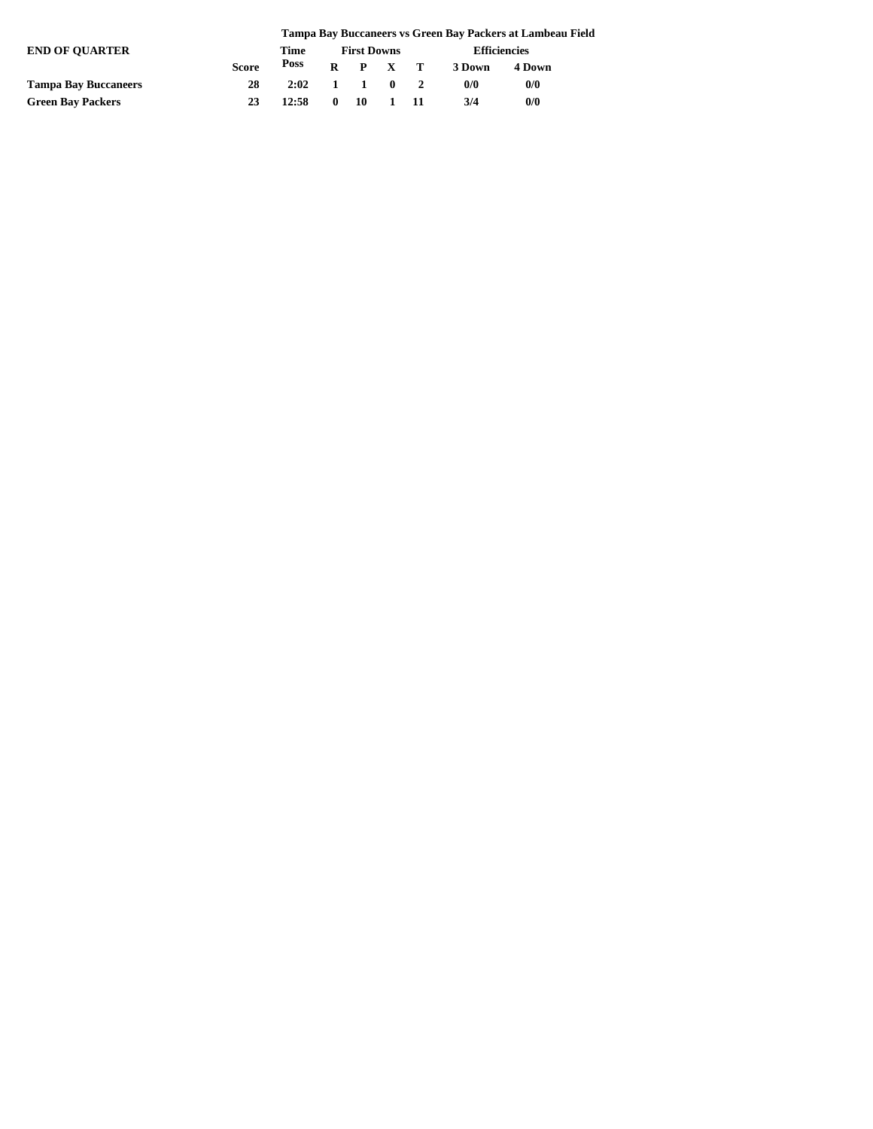|                             |              | Tampa Bay Buccaneers vs Green Bay Packers at Lambeau Field |  |                    |              |  |                     |        |  |
|-----------------------------|--------------|------------------------------------------------------------|--|--------------------|--------------|--|---------------------|--------|--|
| <b>END OF OUARTER</b>       |              | Time                                                       |  | <b>First Downs</b> |              |  | <b>Efficiencies</b> |        |  |
|                             | <b>Score</b> | Poss                                                       |  | $R$ $P$ $X$ $T$    |              |  | 3 Down              | 4 Down |  |
| <b>Tampa Bay Buccaneers</b> | 28           | $2:02 \quad 1 \quad 1 \quad 0 \quad 2$                     |  |                    |              |  | 0/0                 | 0/0    |  |
| <b>Green Bay Packers</b>    | 23           | 12:58                                                      |  | $0\quad 10$        | $1 \quad 11$ |  | 3/4                 | 0/0    |  |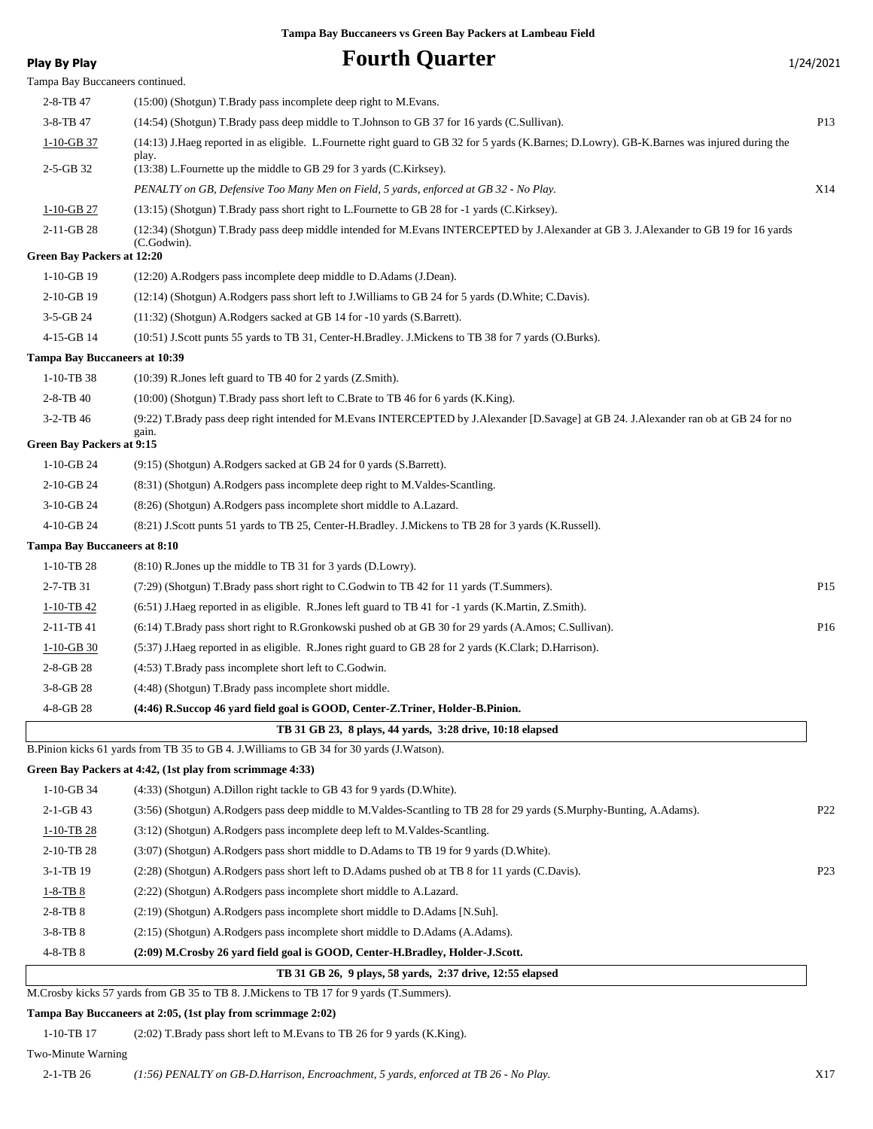| <b>Play By Play</b>                                | <b>Fourth Quarter</b>                                                                                                                        | 1/24/2021       |
|----------------------------------------------------|----------------------------------------------------------------------------------------------------------------------------------------------|-----------------|
| Tampa Bay Buccaneers continued.                    |                                                                                                                                              |                 |
| 2-8-TB 47                                          | (15:00) (Shotgun) T.Brady pass incomplete deep right to M.Evans.                                                                             |                 |
| 3-8-TB 47                                          | (14:54) (Shotgun) T.Brady pass deep middle to T.Johnson to GB 37 for 16 yards (C.Sullivan).                                                  | P13             |
| $1-10-GB$ 37                                       | (14:13) J.Haeg reported in as eligible. L.Fournette right guard to GB 32 for 5 yards (K.Barnes; D.Lowry). GB-K.Barnes was injured during the |                 |
| 2-5-GB 32                                          | play.<br>$(13:38)$ L. Fournette up the middle to GB 29 for 3 yards (C. Kirksey).                                                             |                 |
|                                                    | PENALTY on GB, Defensive Too Many Men on Field, 5 yards, enforced at GB 32 - No Play.                                                        | X14             |
| $1-10-GB$ 27                                       | (13:15) (Shotgun) T.Brady pass short right to L.Fournette to GB 28 for -1 yards (C.Kirksey).                                                 |                 |
| 2-11-GB 28                                         | (12:34) (Shotgun) T.Brady pass deep middle intended for M.Evans INTERCEPTED by J.Alexander at GB 3. J.Alexander to GB 19 for 16 yards        |                 |
|                                                    | (C.Godwin).                                                                                                                                  |                 |
| <b>Green Bay Packers at 12:20</b>                  |                                                                                                                                              |                 |
| $1-10-GB$ 19<br>2-10-GB 19                         | (12:20) A.Rodgers pass incomplete deep middle to D.Adams (J.Dean).                                                                           |                 |
| $3-5-GB$ 24                                        | (12:14) (Shotgun) A.Rodgers pass short left to J.Williams to GB 24 for 5 yards (D.White; C.Davis).                                           |                 |
|                                                    | (11:32) (Shotgun) A.Rodgers sacked at GB 14 for -10 yards (S.Barrett).                                                                       |                 |
| 4-15-GB 14<br><b>Tampa Bay Buccaneers at 10:39</b> | (10:51) J.Scott punts 55 yards to TB 31, Center-H.Bradley. J.Mickens to TB 38 for 7 yards (O.Burks).                                         |                 |
| 1-10-TB 38                                         | (10:39) R.Jones left guard to TB 40 for 2 yards (Z.Smith).                                                                                   |                 |
| 2-8-TB 40                                          | (10:00) (Shotgun) T.Brady pass short left to C.Brate to TB 46 for 6 yards (K.King).                                                          |                 |
| 3-2-TB 46                                          | (9:22) T.Brady pass deep right intended for M.Evans INTERCEPTED by J.Alexander [D.Savage] at GB 24. J.Alexander ran ob at GB 24 for no       |                 |
|                                                    | gain.                                                                                                                                        |                 |
| <b>Green Bay Packers at 9:15</b>                   |                                                                                                                                              |                 |
| $1-10-GB24$                                        | (9:15) (Shotgun) A.Rodgers sacked at GB 24 for 0 yards (S.Barrett).                                                                          |                 |
| 2-10-GB 24                                         | (8:31) (Shotgun) A.Rodgers pass incomplete deep right to M.Valdes-Scantling.                                                                 |                 |
| 3-10-GB 24                                         | (8:26) (Shotgun) A.Rodgers pass incomplete short middle to A.Lazard.                                                                         |                 |
| 4-10-GB 24                                         | (8:21) J.Scott punts 51 yards to TB 25, Center-H.Bradley. J.Mickens to TB 28 for 3 yards (K.Russell).                                        |                 |
| <b>Tampa Bay Buccaneers at 8:10</b>                |                                                                                                                                              |                 |
| $1-10-TB$ 28                                       | (8:10) R.Jones up the middle to TB 31 for 3 yards (D.Lowry).                                                                                 |                 |
| 2-7-TB 31                                          | (7:29) (Shotgun) T.Brady pass short right to C.Godwin to TB 42 for 11 yards (T.Summers).                                                     | P <sub>15</sub> |
| $1-10-TB$ 42                                       | (6.51) J.Haeg reported in as eligible. R.Jones left guard to TB 41 for -1 yards (K.Martin, Z.Smith).                                         |                 |
| 2-11-TB 41                                         | (6:14) T.Brady pass short right to R.Gronkowski pushed ob at GB 30 for 29 yards (A.Amos; C.Sullivan).                                        | P16             |
| $1-10-GB$ 30                                       | (5:37) J.Haeg reported in as eligible. R.Jones right guard to GB 28 for 2 yards (K.Clark; D.Harrison).                                       |                 |
| 2-8-GB 28                                          | (4:53) T.Brady pass incomplete short left to C.Godwin.                                                                                       |                 |
| 3-8-GB 28                                          | (4:48) (Shotgun) T.Brady pass incomplete short middle.                                                                                       |                 |
| 4-8-GB 28                                          | (4:46) R.Succop 46 yard field goal is GOOD, Center-Z.Triner, Holder-B.Pinion.                                                                |                 |
|                                                    | TB 31 GB 23, 8 plays, 44 yards, 3:28 drive, 10:18 elapsed                                                                                    |                 |
|                                                    | B. Pinion kicks 61 yards from TB 35 to GB 4. J. Williams to GB 34 for 30 yards (J. Watson).                                                  |                 |
|                                                    | Green Bay Packers at 4:42, (1st play from scrimmage 4:33)                                                                                    |                 |
| $1-10-GB$ 34                                       | (4:33) (Shotgun) A.Dillon right tackle to GB 43 for 9 yards (D.White).                                                                       |                 |
| $2-1-GB$ 43                                        | (3:56) (Shotgun) A.Rodgers pass deep middle to M.Valdes-Scantling to TB 28 for 29 yards (S.Murphy-Bunting, A.Adams).                         | P <sub>22</sub> |
| 1-10-TB 28                                         | (3:12) (Shotgun) A.Rodgers pass incomplete deep left to M.Valdes-Scantling.                                                                  |                 |
| 2-10-TB 28                                         | (3:07) (Shotgun) A.Rodgers pass short middle to D.Adams to TB 19 for 9 yards (D.White).                                                      |                 |
| 3-1-TB 19                                          | (2:28) (Shotgun) A.Rodgers pass short left to D.Adams pushed ob at TB 8 for 11 yards (C.Davis).                                              | P <sub>23</sub> |
| $1-8-TB$ 8                                         | (2:22) (Shotgun) A.Rodgers pass incomplete short middle to A.Lazard.                                                                         |                 |
| 2-8-TB 8                                           | (2:19) (Shotgun) A.Rodgers pass incomplete short middle to D.Adams [N.Suh].                                                                  |                 |
| 3-8-TB 8                                           | (2.15) (Shotgun) A.Rodgers pass incomplete short middle to D.Adams (A.Adams).                                                                |                 |
| 4-8-TB 8                                           | (2:09) M.Crosby 26 yard field goal is GOOD, Center-H.Bradley, Holder-J.Scott.                                                                |                 |
|                                                    | TB 31 GB 26, 9 plays, 58 yards, 2:37 drive, 12:55 elapsed                                                                                    |                 |

M.Crosby kicks 57 yards from GB 35 to TB 8. J.Mickens to TB 17 for 9 yards (T.Summers).

#### **Tampa Bay Buccaneers at 2:05, (1st play from scrimmage 2:02)**

1-10-TB 17 (2:02) T.Brady pass short left to M.Evans to TB 26 for 9 yards (K.King).

#### Two-Minute Warning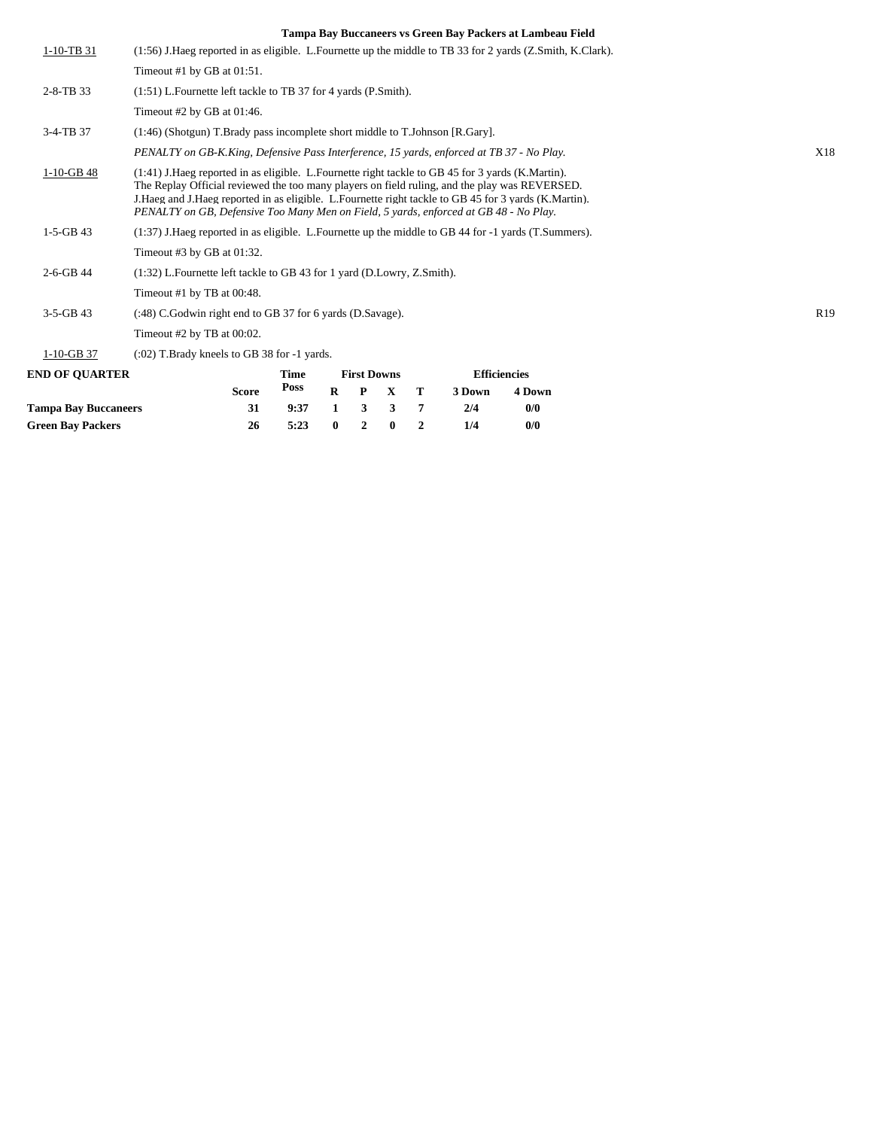| <b>END OF QUARTER</b> | <b>Efficiencies</b><br><b>First Downs</b><br>Time<br><b>Poss</b><br><b>Score</b><br>$\bf R$<br>P<br>$\mathbf X$<br>Т<br>3 Down<br>4 Down                                                                                                                                                                                                                                                                  |                 |
|-----------------------|-----------------------------------------------------------------------------------------------------------------------------------------------------------------------------------------------------------------------------------------------------------------------------------------------------------------------------------------------------------------------------------------------------------|-----------------|
| $1-10-GB$ 37          | $(0.02)$ T. Brady kneels to GB 38 for $-1$ yards.                                                                                                                                                                                                                                                                                                                                                         |                 |
|                       | Timeout #2 by TB at $00:02$ .                                                                                                                                                                                                                                                                                                                                                                             |                 |
| $3-5-GB$ 43           | (:48) C. Godwin right end to GB 37 for 6 yards (D. Savage).                                                                                                                                                                                                                                                                                                                                               | R <sub>19</sub> |
|                       | Timeout #1 by TB at $00:48$ .                                                                                                                                                                                                                                                                                                                                                                             |                 |
| 2-6-GB 44             | (1:32) L. Fournette left tackle to GB 43 for 1 yard (D. Lowry, Z. Smith).                                                                                                                                                                                                                                                                                                                                 |                 |
|                       | Timeout #3 by GB at 01:32.                                                                                                                                                                                                                                                                                                                                                                                |                 |
| $1-5-GB$ 43           | $(1:37)$ J. Haeg reported in as eligible. L. Fournette up the middle to GB 44 for $-1$ yards (T. Summers).                                                                                                                                                                                                                                                                                                |                 |
| $1-10-GB$ 48          | (1:41) J. Haeg reported in as eligible. L. Fournette right tackle to GB 45 for 3 yards (K. Martin).<br>The Replay Official reviewed the too many players on field ruling, and the play was REVERSED.<br>J. Haeg and J. Haeg reported in as eligible. L. Fournette right tackle to GB 45 for 3 yards (K. Martin).<br>PENALTY on GB, Defensive Too Many Men on Field, 5 yards, enforced at GB 48 - No Play. |                 |
|                       | PENALTY on GB-K.King, Defensive Pass Interference, 15 yards, enforced at TB 37 - No Play.                                                                                                                                                                                                                                                                                                                 | X18             |
| 3-4-TB 37             | (1:46) (Shotgun) T.Brady pass incomplete short middle to T.Johnson [R.Gary].                                                                                                                                                                                                                                                                                                                              |                 |
|                       | Timeout #2 by GB at $01:46$ .                                                                                                                                                                                                                                                                                                                                                                             |                 |
| 2-8-TB 33             | (1:51) L. Fournette left tackle to TB 37 for 4 yards (P. Smith).                                                                                                                                                                                                                                                                                                                                          |                 |
|                       | Timeout #1 by GB at 01:51.                                                                                                                                                                                                                                                                                                                                                                                |                 |
| 1-10-TB 31            | (1:56) J.Haeg reported in as eligible. L.Fournette up the middle to TB 33 for 2 yards (Z.Smith, K.Clark).                                                                                                                                                                                                                                                                                                 |                 |

**Tampa Bay Buccaneers 31 9:37 1 3 3 7 2/4 0/0 Green Bay Packers 26 5:23 0 2 0 2 1/4 0/0**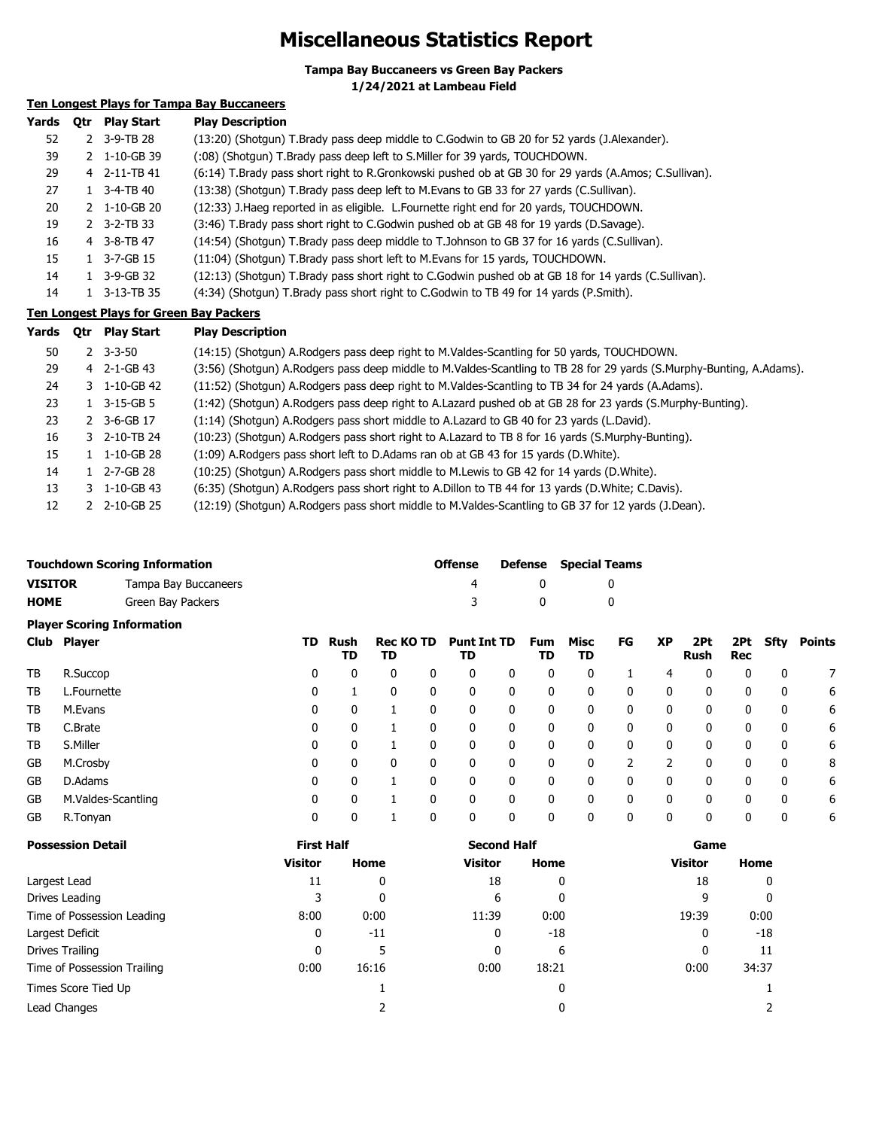### **Miscellaneous Statistics Report**

**Tampa Bay Buccaneers vs Green Bay Packers**

**1/24/2021 at Lambeau Field**

#### **Ten Longest Plays for Tampa Bay Buccaneers**

| Yards | Otr Play Start                | <b>Play Description</b>                                                                               |
|-------|-------------------------------|-------------------------------------------------------------------------------------------------------|
| 52    | 2 3-9-TB 28                   | (13:20) (Shotgun) T.Brady pass deep middle to C.Godwin to GB 20 for 52 yards (J.Alexander).           |
| 39    | 2 1-10-GB 39                  | (:08) (Shotgun) T.Brady pass deep left to S.Miller for 39 yards, TOUCHDOWN.                           |
| 29    | 4 2-11-TB 41                  | (6:14) T.Brady pass short right to R.Gronkowski pushed ob at GB 30 for 29 yards (A.Amos; C.Sullivan). |
| 27    | $1 \quad 3 - 4 - TB \quad 40$ | (13:38) (Shotgun) T.Brady pass deep left to M.Evans to GB 33 for 27 yards (C.Sullivan).               |
| 20    | 2 1-10-GB 20                  | (12:33) J. Haeg reported in as eligible. L. Fournette right end for 20 yards, TOUCHDOWN.              |
| 19    | $2 \quad 3-2-TB33$            | (3:46) T.Brady pass short right to C.Godwin pushed ob at GB 48 for 19 yards (D.Savage).               |
| 16    | 4 3-8-TB 47                   | (14:54) (Shotgun) T.Brady pass deep middle to T.Johnson to GB 37 for 16 yards (C.Sullivan).           |
| 15    | 3-7-GB 15                     | (11:04) (Shotgun) T.Brady pass short left to M.Evans for 15 yards, TOUCHDOWN.                         |
| 14    | 1 3-9-GB 32                   | (12:13) (Shotgun) T.Brady pass short right to C.Godwin pushed ob at GB 18 for 14 yards (C.Sullivan).  |
| 14    | 3-13-TB 35                    | (4:34) (Shotgun) T.Brady pass short right to C.Godwin to TB 49 for 14 yards (P.Smith).                |

#### **Ten Longest Plays for Green Bay Packers**

| Yards | 0tr | <b>Play Start</b>        | <b>Play Description</b>                                                                                              |
|-------|-----|--------------------------|----------------------------------------------------------------------------------------------------------------------|
| 50    |     | $2 \quad 3 - 3 - 50$     | (14:15) (Shotgun) A.Rodgers pass deep right to M.Valdes-Scantling for 50 yards, TOUCHDOWN.                           |
| 29    |     | 4 2-1-GB 43              | (3:56) (Shotgun) A.Rodgers pass deep middle to M.Valdes-Scantling to TB 28 for 29 yards (S.Murphy-Bunting, A.Adams). |
| 24    |     | 3 1-10-GB 42             | (11:52) (Shotgun) A.Rodgers pass deep right to M.Valdes-Scantling to TB 34 for 24 yards (A.Adams).                   |
| 23    |     | $1 \quad 3-15-GB5$       | (1:42) (Shotgun) A.Rodgers pass deep right to A.Lazard pushed ob at GB 28 for 23 yards (S.Murphy-Bunting).           |
| 23    |     | 2 3-6-GB 17              | (1:14) (Shotgun) A.Rodgers pass short middle to A.Lazard to GB 40 for 23 yards (L.David).                            |
| 16    |     | 3 2-10-TB 24             | (10:23) (Shotgun) A.Rodgers pass short right to A.Lazard to TB 8 for 16 yards (S.Murphy-Bunting).                    |
| 15    |     | $1 \quad 1 - 10 - GB$ 28 | (1:09) A. Rodgers pass short left to D. Adams ran ob at GB 43 for 15 yards (D. White).                               |
| 14    |     | $1$ 2-7-GB 28            | (10:25) (Shotqun) A.Rodgers pass short middle to M.Lewis to GB 42 for 14 yards (D.White).                            |
| 13    |     | $3 \quad 1 - 10 - GB$ 43 | (6:35) (Shotgun) A.Rodgers pass short right to A.Dillon to TB 44 for 13 yards (D.White; C.Davis).                    |
| 12    |     | 2 2-10-GB 25             | (12:19) (Shotgun) A.Rodgers pass short middle to M.Valdes-Scantling to GB 37 for 12 yards (J.Dean).                  |

|         | <b>Touchdown Scoring Information</b> |  |                                                                              | <b>Offense</b> |          | <b>Defense</b> Special Teams |
|---------|--------------------------------------|--|------------------------------------------------------------------------------|----------------|----------|------------------------------|
| VISITOR | Tampa Bay Buccaneers                 |  |                                                                              | 4              |          |                              |
| HOME    | Green Bay Packers                    |  |                                                                              | ્રવ            | $\Omega$ |                              |
|         | <b>Player Scoring Information</b>    |  |                                                                              |                |          |                              |
|         |                                      |  | $\mathbf{r}$ is the contract of $\mathbf{r}$ in the contract of $\mathbf{r}$ |                |          |                              |

| Club Player | TD                 |   | Rush<br>TD | <b>Rec KO TD</b><br>TD |  | <b>Punt Int TD</b><br>TD |   | <b>Fum</b><br>TD | Misc<br>TD   | FG | <b>XP</b> | 2Pt<br>Rush | 2Pt<br>Rec | Sfty | Points |
|-------------|--------------------|---|------------|------------------------|--|--------------------------|---|------------------|--------------|----|-----------|-------------|------------|------|--------|
| TB          | R.Succop           | 0 | 0          | 0                      |  | 0                        | 0 | 0                | 0            |    | 4         | 0           | 0          | 0    |        |
| TB          | L.Fournette        | 0 |            | 0                      |  | 0                        | 0 | 0                | 0            |    | 0         | 0           | 0          | 0    | 6      |
| TB          | M.Evans            | 0 | 0          |                        |  | 0                        | 0 | 0                | $\mathbf{0}$ | 0  | 0         | 0           | 0          | 0    | 6      |
| TB          | C.Brate            | 0 | 0          |                        |  | 0                        | 0 | 0                | 0            |    | 0         | 0           | 0          | 0    | 6      |
| TB          | S.Miller           | 0 | 0          |                        |  | 0                        | 0 | 0                | 0            | 0  | 0         | 0           | 0          | 0    | 6      |
| GB          | M.Crosby           | 0 | 0          | 0                      |  | 0                        | 0 | 0                | 0            |    |           | 0           | 0          | 0    | 8      |
| GB          | D.Adams            | 0 | 0          |                        |  | 0                        | 0 | 0                | 0            |    | 0         | 0           | 0          | 0    | 6      |
| GB          | M.Valdes-Scantling | 0 | 0          |                        |  | 0                        | 0 | 0                | 0            |    | 0         | 0           | 0          | 0    | 6      |
| GB          | R.Tonyan           | 0 |            |                        |  | 0                        | 0 | 0                |              | 0  | 0         |             | 0          | 0    | 6      |

| <b>Possession Detail</b>    | <b>First Half</b> |       | <b>Second Half</b> |       | Game           |       |  |
|-----------------------------|-------------------|-------|--------------------|-------|----------------|-------|--|
|                             | <b>Visitor</b>    | Home  | <b>Visitor</b>     | Home  | <b>Visitor</b> | Home  |  |
| Largest Lead                | 11                | 0     | 18                 | 0     | 18             | 0     |  |
| Drives Leading              | 3                 | 0     | 6                  | 0     | 9              | 0     |  |
| Time of Possession Leading  | 8:00              | 0:00  | 11:39              | 0:00  | 19:39          | 0:00  |  |
| Largest Deficit             | 0                 | $-11$ | 0                  | $-18$ | 0              | -18   |  |
| Drives Trailing             | 0                 | 5     | 0                  | 6     | 0              | 11    |  |
| Time of Possession Trailing | 0:00              | 16:16 | 0:00               | 18:21 | 0:00           | 34:37 |  |
| Times Score Tied Up         |                   |       |                    | 0     |                |       |  |
| Lead Changes                |                   |       |                    |       |                |       |  |